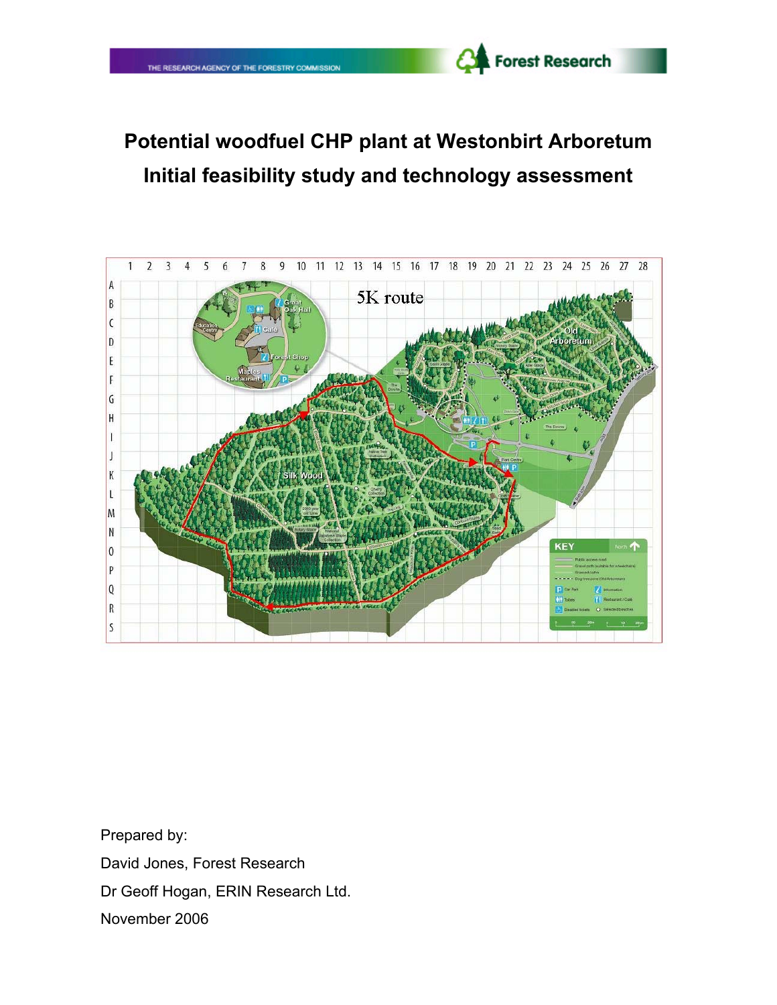# **Potential woodfuel CHP plant at Westonbirt Arboretum Initial feasibility study and technology assessment**

Forest Research



Prepared by: David Jones, Forest Research Dr Geoff Hogan, ERIN Research Ltd. November 2006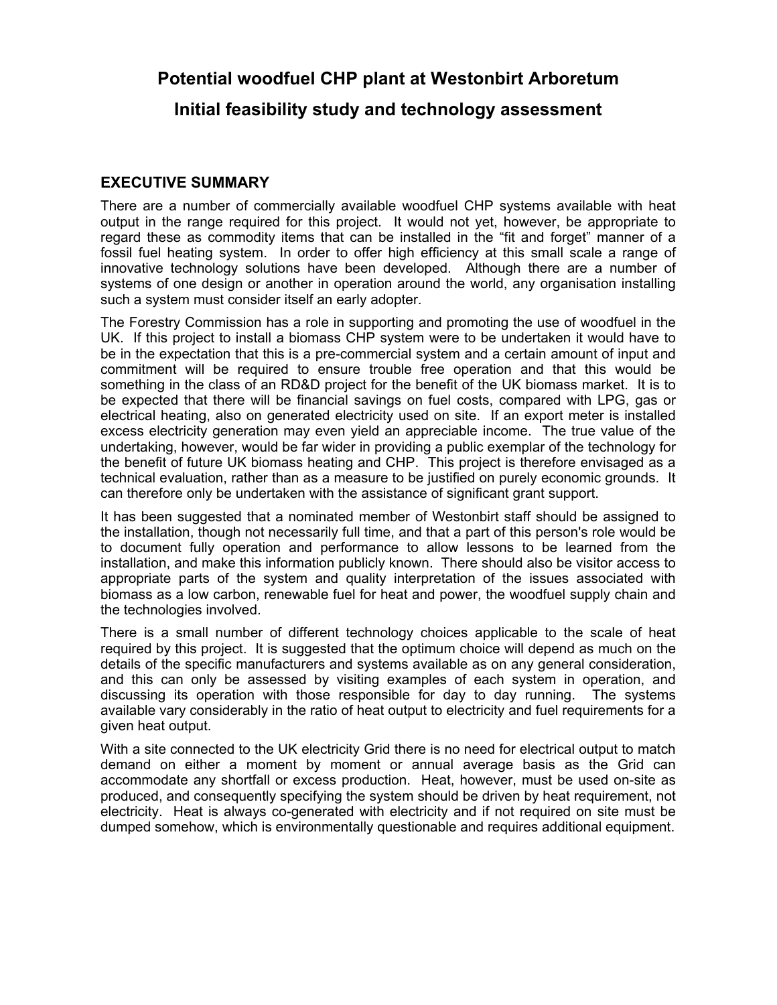**Potential woodfuel CHP plant at Westonbirt Arboretum**

**Initial feasibility study and technology assessment**

## **EXECUTIVE SUMMARY**

There are a number of commercially available woodfuel CHP systems available with heat output in the range required for this project. It would not yet, however, be appropriate to regard these as commodity items that can be installed in the "fit and forget" manner of a fossil fuel heating system. In order to offer high efficiency at this small scale a range of innovative technology solutions have been developed. Although there are a number of systems of one design or another in operation around the world, any organisation installing such a system must consider itself an early adopter.

The Forestry Commission has a role in supporting and promoting the use of woodfuel in the UK. If this project to install a biomass CHP system were to be undertaken it would have to be in the expectation that this is a pre-commercial system and a certain amount of input and commitment will be required to ensure trouble free operation and that this would be something in the class of an RD&D project for the benefit of the UK biomass market. It is to be expected that there will be financial savings on fuel costs, compared with LPG, gas or electrical heating, also on generated electricity used on site. If an export meter is installed excess electricity generation may even yield an appreciable income. The true value of the undertaking, however, would be far wider in providing a public exemplar of the technology for the benefit of future UK biomass heating and CHP. This project is therefore envisaged as a technical evaluation, rather than as a measure to be justified on purely economic grounds. It can therefore only be undertaken with the assistance of significant grant support.

It has been suggested that a nominated member of Westonbirt staff should be assigned to the installation, though not necessarily full time, and that a part of this person's role would be to document fully operation and performance to allow lessons to be learned from the installation, and make this information publicly known. There should also be visitor access to appropriate parts of the system and quality interpretation of the issues associated with biomass as a low carbon, renewable fuel for heat and power, the woodfuel supply chain and the technologies involved.

There is a small number of different technology choices applicable to the scale of heat required by this project. It is suggested that the optimum choice will depend as much on the details of the specific manufacturers and systems available as on any general consideration, and this can only be assessed by visiting examples of each system in operation, and discussing its operation with those responsible for day to day running. The systems available vary considerably in the ratio of heat output to electricity and fuel requirements for a given heat output.

With a site connected to the UK electricity Grid there is no need for electrical output to match demand on either a moment by moment or annual average basis as the Grid can accommodate any shortfall or excess production. Heat, however, must be used on-site as produced, and consequently specifying the system should be driven by heat requirement, not electricity. Heat is always co-generated with electricity and if not required on site must be dumped somehow, which is environmentally questionable and requires additional equipment.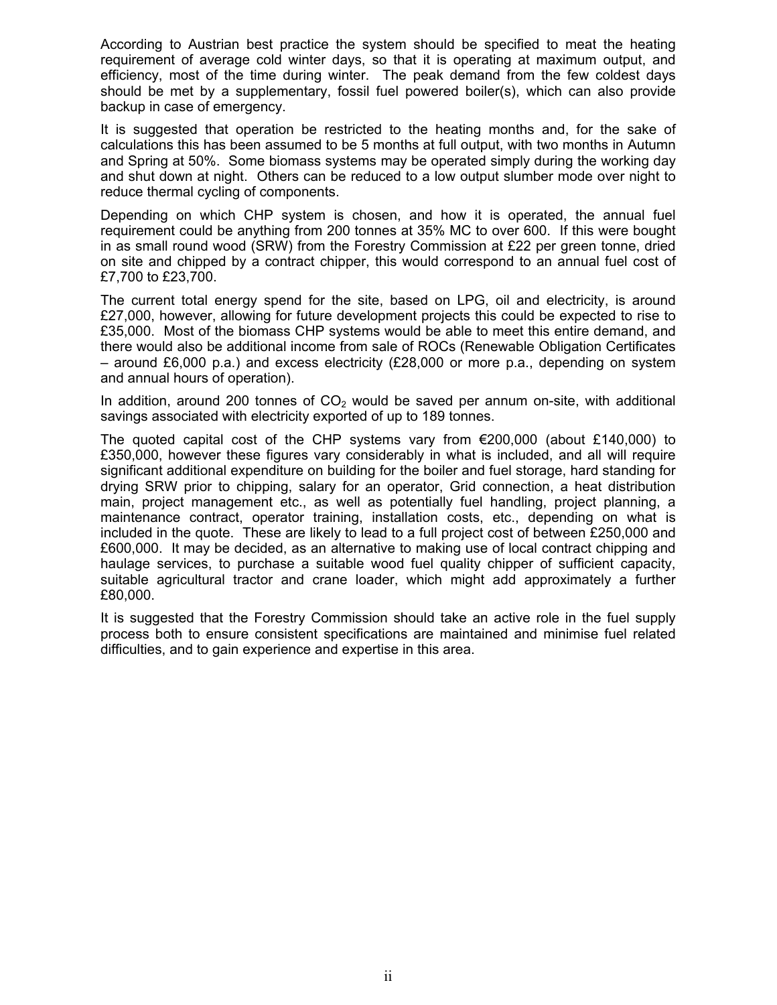According to Austrian best practice the system should be specified to meat the heating requirement of average cold winter days, so that it is operating at maximum output, and efficiency, most of the time during winter. The peak demand from the few coldest days should be met by a supplementary, fossil fuel powered boiler(s), which can also provide backup in case of emergency.

It is suggested that operation be restricted to the heating months and, for the sake of calculations this has been assumed to be 5 months at full output, with two months in Autumn and Spring at 50%. Some biomass systems may be operated simply during the working day and shut down at night. Others can be reduced to a low output slumber mode over night to reduce thermal cycling of components.

Depending on which CHP system is chosen, and how it is operated, the annual fuel requirement could be anything from 200 tonnes at 35% MC to over 600. If this were bought in as small round wood (SRW) from the Forestry Commission at £22 per green tonne, dried on site and chipped by a contract chipper, this would correspond to an annual fuel cost of £7,700 to £23,700.

The current total energy spend for the site, based on LPG, oil and electricity, is around £27,000, however, allowing for future development projects this could be expected to rise to £35,000. Most of the biomass CHP systems would be able to meet this entire demand, and there would also be additional income from sale of ROCs (Renewable Obligation Certificates – around £6,000 p.a.) and excess electricity (£28,000 or more p.a., depending on system and annual hours of operation).

In addition, around 200 tonnes of  $CO<sub>2</sub>$  would be saved per annum on-site, with additional savings associated with electricity exported of up to 189 tonnes.

The quoted capital cost of the CHP systems vary from  $\epsilon$ 200,000 (about £140,000) to £350,000, however these figures vary considerably in what is included, and all will require significant additional expenditure on building for the boiler and fuel storage, hard standing for drying SRW prior to chipping, salary for an operator, Grid connection, a heat distribution main, project management etc., as well as potentially fuel handling, project planning, a maintenance contract, operator training, installation costs, etc., depending on what is included in the quote. These are likely to lead to a full project cost of between £250,000 and £600,000. It may be decided, as an alternative to making use of local contract chipping and haulage services, to purchase a suitable wood fuel quality chipper of sufficient capacity, suitable agricultural tractor and crane loader, which might add approximately a further £80,000.

It is suggested that the Forestry Commission should take an active role in the fuel supply process both to ensure consistent specifications are maintained and minimise fuel related difficulties, and to gain experience and expertise in this area.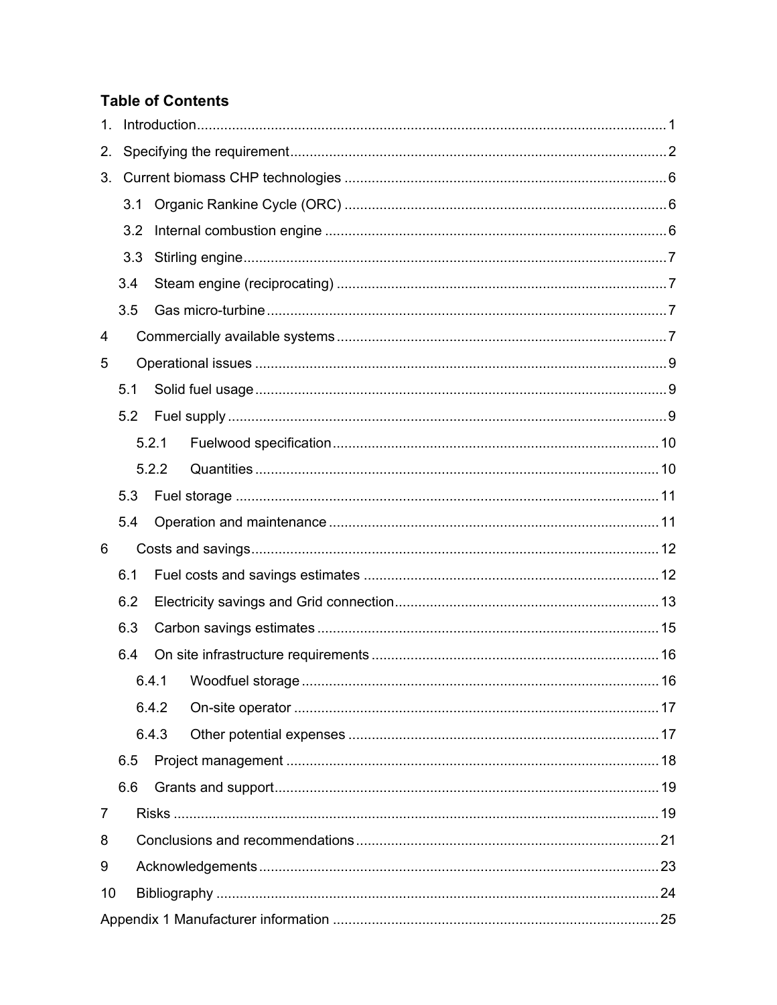## **Table of Contents**

| 1.             |     |       |                        |    |  |  |  |
|----------------|-----|-------|------------------------|----|--|--|--|
| 2.             |     |       |                        |    |  |  |  |
| 3.             |     |       |                        |    |  |  |  |
|                | 3.1 |       |                        |    |  |  |  |
|                | 3.2 |       |                        |    |  |  |  |
|                | 3.3 |       |                        |    |  |  |  |
|                | 3.4 |       |                        |    |  |  |  |
|                | 3.5 |       |                        |    |  |  |  |
| 4              |     |       |                        |    |  |  |  |
| 5              |     |       |                        |    |  |  |  |
|                | 5.1 |       |                        |    |  |  |  |
|                | 5.2 |       |                        |    |  |  |  |
|                |     | 5.2.1 |                        |    |  |  |  |
|                |     | 5.2.2 |                        |    |  |  |  |
|                | 5.3 |       |                        |    |  |  |  |
|                | 5.4 |       |                        |    |  |  |  |
| 6              |     |       |                        |    |  |  |  |
|                | 6.1 |       |                        |    |  |  |  |
|                | 6.2 |       |                        |    |  |  |  |
|                | 6.3 |       |                        |    |  |  |  |
|                | 6.4 |       |                        |    |  |  |  |
|                |     |       | 6.4.1 Woodfuel storage | 16 |  |  |  |
|                |     | 6.4.2 |                        |    |  |  |  |
|                |     | 6.4.3 |                        |    |  |  |  |
|                | 6.5 |       |                        |    |  |  |  |
|                | 6.6 |       |                        |    |  |  |  |
| $\overline{7}$ |     |       |                        |    |  |  |  |
| 8              |     |       |                        |    |  |  |  |
| 9              |     |       |                        |    |  |  |  |
| 10             |     |       |                        |    |  |  |  |
|                |     |       |                        |    |  |  |  |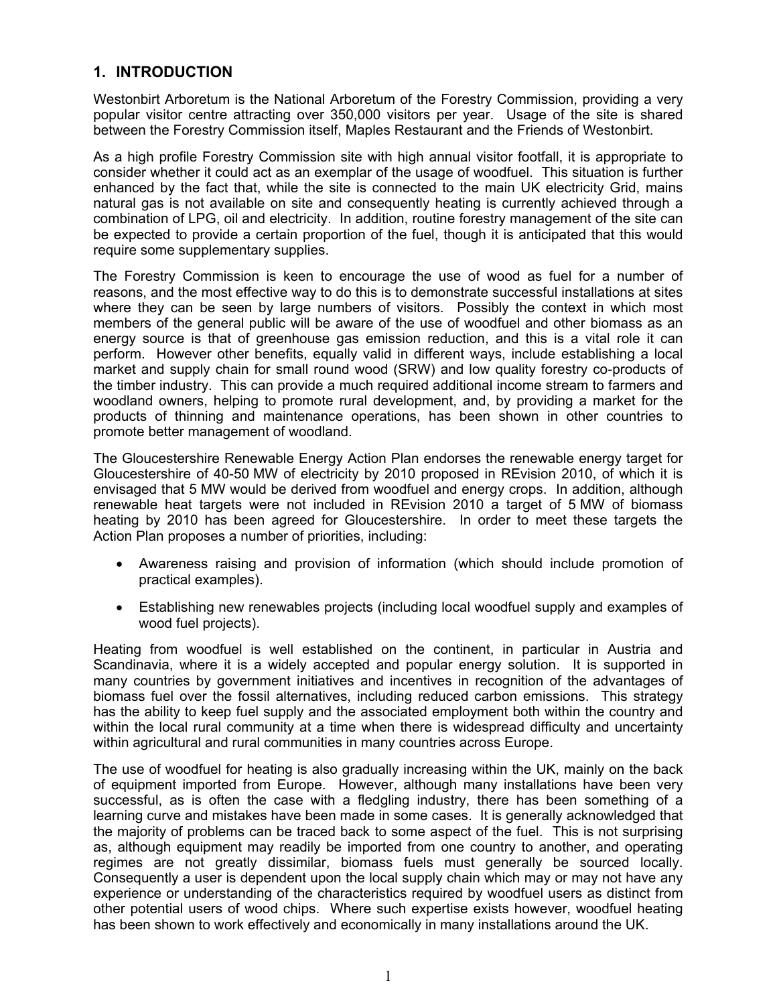## **1. INTRODUCTION**

Westonbirt Arboretum is the National Arboretum of the Forestry Commission, providing a very popular visitor centre attracting over 350,000 visitors per year. Usage of the site is shared between the Forestry Commission itself, Maples Restaurant and the Friends of Westonbirt.

As a high profile Forestry Commission site with high annual visitor footfall, it is appropriate to consider whether it could act as an exemplar of the usage of woodfuel. This situation is further enhanced by the fact that, while the site is connected to the main UK electricity Grid, mains natural gas is not available on site and consequently heating is currently achieved through a combination of LPG, oil and electricity. In addition, routine forestry management of the site can be expected to provide a certain proportion of the fuel, though it is anticipated that this would require some supplementary supplies.

The Forestry Commission is keen to encourage the use of wood as fuel for a number of reasons, and the most effective way to do this is to demonstrate successful installations at sites where they can be seen by large numbers of visitors. Possibly the context in which most members of the general public will be aware of the use of woodfuel and other biomass as an energy source is that of greenhouse gas emission reduction, and this is a vital role it can perform. However other benefits, equally valid in different ways, include establishing a local market and supply chain for small round wood (SRW) and low quality forestry co-products of the timber industry. This can provide a much required additional income stream to farmers and woodland owners, helping to promote rural development, and, by providing a market for the products of thinning and maintenance operations, has been shown in other countries to promote better management of woodland.

The Gloucestershire Renewable Energy Action Plan endorses the renewable energy target for Gloucestershire of 40-50 MW of electricity by 2010 proposed in REvision 2010, of which it is envisaged that 5 MW would be derived from woodfuel and energy crops. In addition, although renewable heat targets were not included in REvision 2010 a target of 5 MW of biomass heating by 2010 has been agreed for Gloucestershire. In order to meet these targets the Action Plan proposes a number of priorities, including:

- Awareness raising and provision of information (which should include promotion of practical examples).
- Establishing new renewables projects (including local woodfuel supply and examples of wood fuel projects).

Heating from woodfuel is well established on the continent, in particular in Austria and Scandinavia, where it is a widely accepted and popular energy solution. It is supported in many countries by government initiatives and incentives in recognition of the advantages of biomass fuel over the fossil alternatives, including reduced carbon emissions. This strategy has the ability to keep fuel supply and the associated employment both within the country and within the local rural community at a time when there is widespread difficulty and uncertainty within agricultural and rural communities in many countries across Europe.

The use of woodfuel for heating is also gradually increasing within the UK, mainly on the back of equipment imported from Europe. However, although many installations have been very successful, as is often the case with a fledgling industry, there has been something of a learning curve and mistakes have been made in some cases. It is generally acknowledged that the majority of problems can be traced back to some aspect of the fuel. This is not surprising as, although equipment may readily be imported from one country to another, and operating regimes are not greatly dissimilar, biomass fuels must generally be sourced locally. Consequently a user is dependent upon the local supply chain which may or may not have any experience or understanding of the characteristics required by woodfuel users as distinct from other potential users of wood chips. Where such expertise exists however, woodfuel heating has been shown to work effectively and economically in many installations around the UK.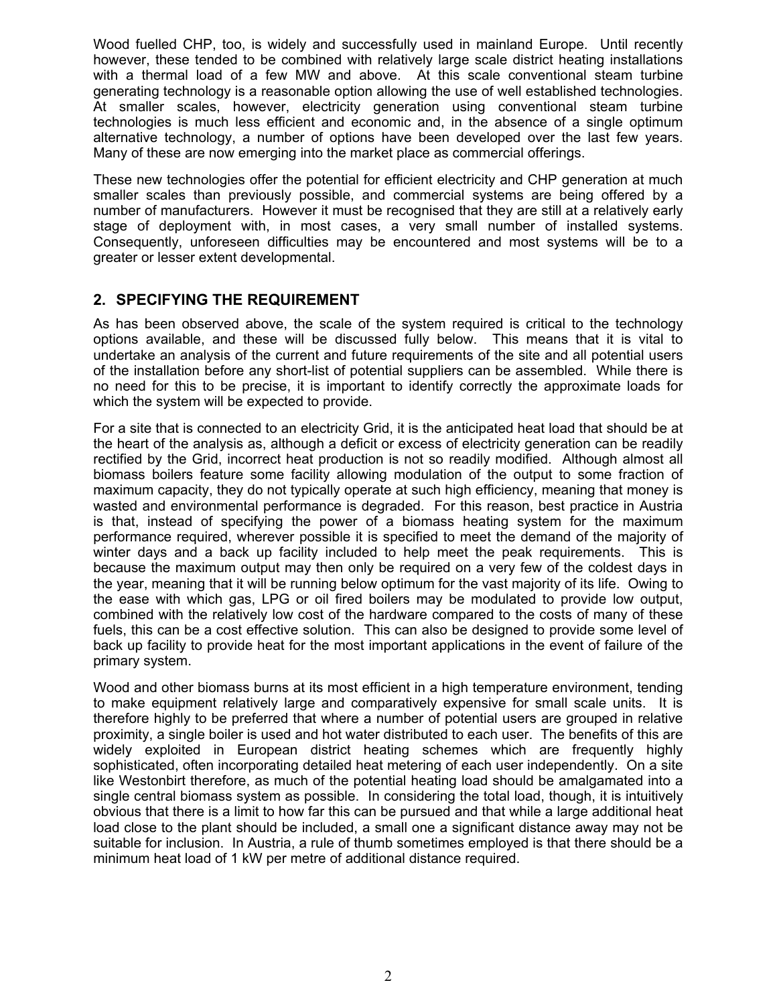Wood fuelled CHP, too, is widely and successfully used in mainland Europe. Until recently however, these tended to be combined with relatively large scale district heating installations with a thermal load of a few MW and above. At this scale conventional steam turbine generating technology is a reasonable option allowing the use of well established technologies. At smaller scales, however, electricity generation using conventional steam turbine technologies is much less efficient and economic and, in the absence of a single optimum alternative technology, a number of options have been developed over the last few years. Many of these are now emerging into the market place as commercial offerings.

These new technologies offer the potential for efficient electricity and CHP generation at much smaller scales than previously possible, and commercial systems are being offered by a number of manufacturers. However it must be recognised that they are still at a relatively early stage of deployment with, in most cases, a very small number of installed systems. Consequently, unforeseen difficulties may be encountered and most systems will be to a greater or lesser extent developmental.

## **2. SPECIFYING THE REQUIREMENT**

As has been observed above, the scale of the system required is critical to the technology options available, and these will be discussed fully below. This means that it is vital to undertake an analysis of the current and future requirements of the site and all potential users of the installation before any short-list of potential suppliers can be assembled. While there is no need for this to be precise, it is important to identify correctly the approximate loads for which the system will be expected to provide.

For a site that is connected to an electricity Grid, it is the anticipated heat load that should be at the heart of the analysis as, although a deficit or excess of electricity generation can be readily rectified by the Grid, incorrect heat production is not so readily modified. Although almost all biomass boilers feature some facility allowing modulation of the output to some fraction of maximum capacity, they do not typically operate at such high efficiency, meaning that money is wasted and environmental performance is degraded. For this reason, best practice in Austria is that, instead of specifying the power of a biomass heating system for the maximum performance required, wherever possible it is specified to meet the demand of the majority of winter days and a back up facility included to help meet the peak requirements. This is because the maximum output may then only be required on a very few of the coldest days in the year, meaning that it will be running below optimum for the vast majority of its life. Owing to the ease with which gas, LPG or oil fired boilers may be modulated to provide low output, combined with the relatively low cost of the hardware compared to the costs of many of these fuels, this can be a cost effective solution. This can also be designed to provide some level of back up facility to provide heat for the most important applications in the event of failure of the primary system.

Wood and other biomass burns at its most efficient in a high temperature environment, tending to make equipment relatively large and comparatively expensive for small scale units. It is therefore highly to be preferred that where a number of potential users are grouped in relative proximity, a single boiler is used and hot water distributed to each user. The benefits of this are widely exploited in European district heating schemes which are frequently highly sophisticated, often incorporating detailed heat metering of each user independently. On a site like Westonbirt therefore, as much of the potential heating load should be amalgamated into a single central biomass system as possible. In considering the total load, though, it is intuitively obvious that there is a limit to how far this can be pursued and that while a large additional heat load close to the plant should be included, a small one a significant distance away may not be suitable for inclusion. In Austria, a rule of thumb sometimes employed is that there should be a minimum heat load of 1 kW per metre of additional distance required.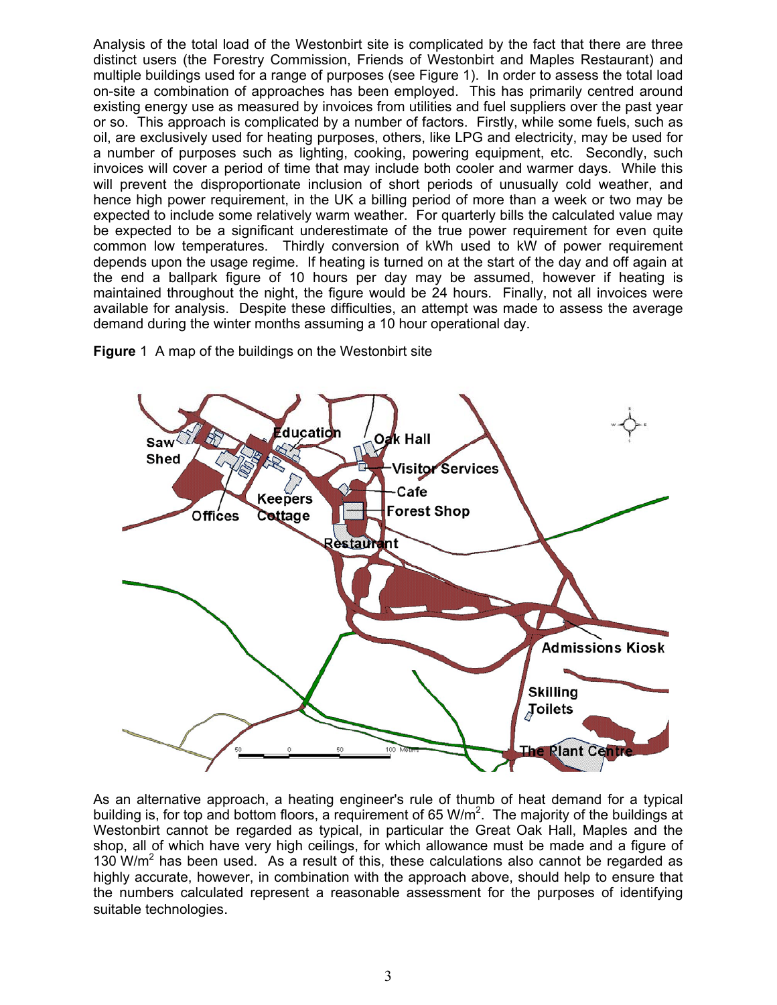Analysis of the total load of the Westonbirt site is complicated by the fact that there are three distinct users (the Forestry Commission, Friends of Westonbirt and Maples Restaurant) and multiple buildings used for a range of purposes (see Figure 1). In order to assess the total load on-site a combination of approaches has been employed. This has primarily centred around existing energy use as measured by invoices from utilities and fuel suppliers over the past year or so. This approach is complicated by a number of factors. Firstly, while some fuels, such as oil, are exclusively used for heating purposes, others, like LPG and electricity, may be used for a number of purposes such as lighting, cooking, powering equipment, etc. Secondly, such invoices will cover a period of time that may include both cooler and warmer days. While this will prevent the disproportionate inclusion of short periods of unusually cold weather, and hence high power requirement, in the UK a billing period of more than a week or two may be expected to include some relatively warm weather. For quarterly bills the calculated value may be expected to be a significant underestimate of the true power requirement for even quite common low temperatures. Thirdly conversion of kWh used to kW of power requirement depends upon the usage regime. If heating is turned on at the start of the day and off again at the end a ballpark figure of 10 hours per day may be assumed, however if heating is maintained throughout the night, the figure would be 24 hours. Finally, not all invoices were available for analysis. Despite these difficulties, an attempt was made to assess the average demand during the winter months assuming a 10 hour operational day.



**Figure** 1 A map of the buildings on the Westonbirt site

As an alternative approach, a heating engineer's rule of thumb of heat demand for a typical building is, for top and bottom floors, a requirement of 65 W/m<sup>2</sup>. The majority of the buildings at Westonbirt cannot be regarded as typical, in particular the Great Oak Hall, Maples and the shop, all of which have very high ceilings, for which allowance must be made and a figure of 130 W/ $m<sup>2</sup>$  has been used. As a result of this, these calculations also cannot be regarded as highly accurate, however, in combination with the approach above, should help to ensure that the numbers calculated represent a reasonable assessment for the purposes of identifying suitable technologies.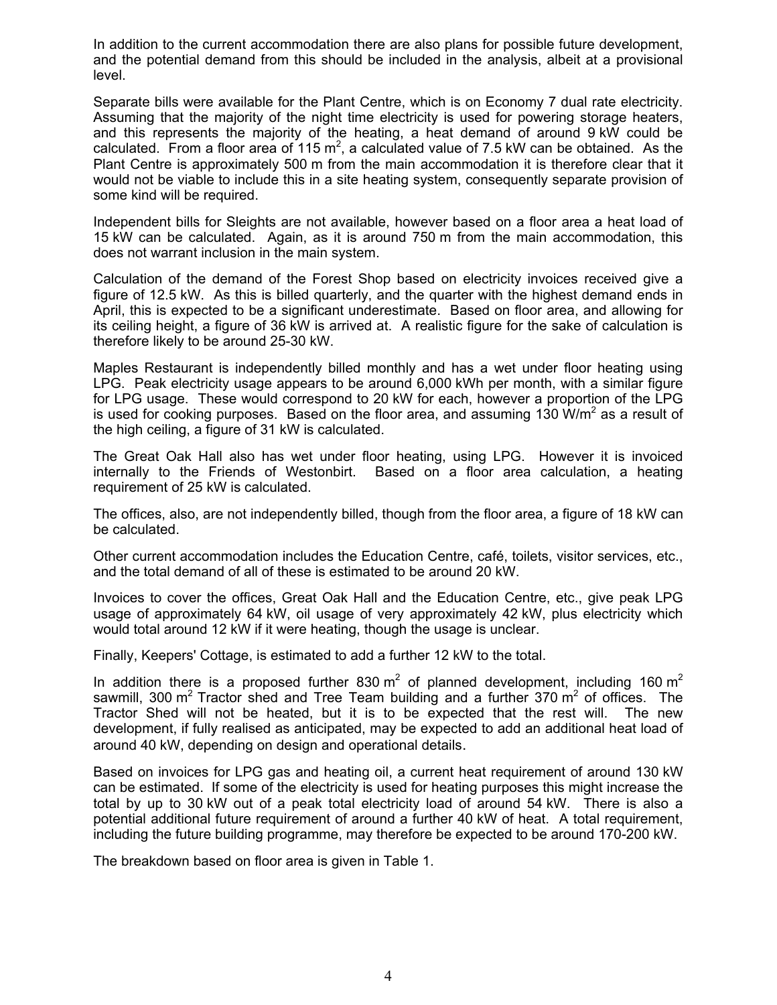In addition to the current accommodation there are also plans for possible future development, and the potential demand from this should be included in the analysis, albeit at a provisional level.

Separate bills were available for the Plant Centre, which is on Economy 7 dual rate electricity. Assuming that the majority of the night time electricity is used for powering storage heaters, and this represents the majority of the heating, a heat demand of around 9 kW could be calculated. From a floor area of 115 m<sup>2</sup>, a calculated value of 7.5 kW can be obtained. As the Plant Centre is approximately 500 m from the main accommodation it is therefore clear that it would not be viable to include this in a site heating system, consequently separate provision of some kind will be required.

Independent bills for Sleights are not available, however based on a floor area a heat load of 15 kW can be calculated. Again, as it is around 750 m from the main accommodation, this does not warrant inclusion in the main system.

Calculation of the demand of the Forest Shop based on electricity invoices received give a figure of 12.5 kW. As this is billed quarterly, and the quarter with the highest demand ends in April, this is expected to be a significant underestimate. Based on floor area, and allowing for its ceiling height, a figure of 36 kW is arrived at. A realistic figure for the sake of calculation is therefore likely to be around 25-30 kW.

Maples Restaurant is independently billed monthly and has a wet under floor heating using LPG. Peak electricity usage appears to be around 6,000 kWh per month, with a similar figure for LPG usage. These would correspond to 20 kW for each, however a proportion of the LPG is used for cooking purposes. Based on the floor area, and assuming 130 W/m<sup>2</sup> as a result of the high ceiling, a figure of 31 kW is calculated.

The Great Oak Hall also has wet under floor heating, using LPG. However it is invoiced internally to the Friends of Westonbirt. Based on a floor area calculation, a heating requirement of 25 kW is calculated.

The offices, also, are not independently billed, though from the floor area, a figure of 18 kW can be calculated.

Other current accommodation includes the Education Centre, café, toilets, visitor services, etc., and the total demand of all of these is estimated to be around 20 kW.

Invoices to cover the offices, Great Oak Hall and the Education Centre, etc., give peak LPG usage of approximately 64 kW, oil usage of very approximately 42 kW, plus electricity which would total around 12 kW if it were heating, though the usage is unclear.

Finally, Keepers' Cottage, is estimated to add a further 12 kW to the total.

In addition there is a proposed further 830 m<sup>2</sup> of planned development, including 160 m<sup>2</sup> sawmill, 300 m<sup>2</sup> Tractor shed and Tree Team building and a further 370 m<sup>2</sup> of offices. The Tractor Shed will not be heated, but it is to be expected that the rest will. The new development, if fully realised as anticipated, may be expected to add an additional heat load of around 40 kW, depending on design and operational details.

Based on invoices for LPG gas and heating oil, a current heat requirement of around 130 kW can be estimated. If some of the electricity is used for heating purposes this might increase the total by up to 30 kW out of a peak total electricity load of around 54 kW. There is also a potential additional future requirement of around a further 40 kW of heat. A total requirement, including the future building programme, may therefore be expected to be around 170-200 kW.

The breakdown based on floor area is given in Table 1.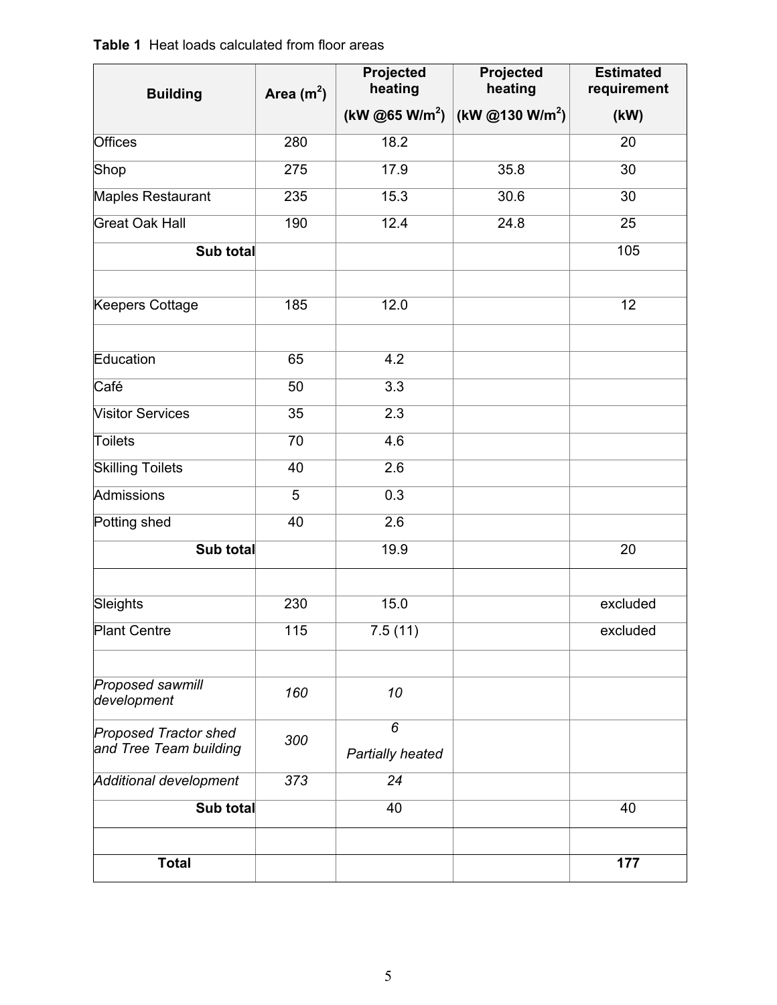## **Table 1** Heat loads calculated from floor areas

| <b>Building</b>                                        | Area $(m2)$     | <b>Projected</b><br>heating | Projected<br>heating        | <b>Estimated</b><br>requirement |  |
|--------------------------------------------------------|-----------------|-----------------------------|-----------------------------|---------------------------------|--|
|                                                        |                 | (kW @65 W/m <sup>2</sup> )  | (kW @130 W/m <sup>2</sup> ) | (kW)                            |  |
| <b>Offices</b>                                         | 280             | 18.2                        |                             | 20                              |  |
| Shop                                                   | 275             | 17.9                        | 35.8                        | 30                              |  |
| Maples Restaurant                                      | 235             | 15.3                        | 30.6                        | 30                              |  |
| <b>Great Oak Hall</b>                                  | 190             | 12.4                        | 24.8                        | 25                              |  |
| Sub total                                              |                 |                             |                             | 105                             |  |
| <b>Keepers Cottage</b>                                 | 185             | 12.0                        |                             | $\overline{12}$                 |  |
|                                                        |                 |                             |                             |                                 |  |
| Education                                              | 65              | 4.2                         |                             |                                 |  |
| Café                                                   | 50              | $\overline{3.3}$            |                             |                                 |  |
| <b>Visitor Services</b>                                | $\overline{35}$ | 2.3                         |                             |                                 |  |
| Toilets                                                | $\overline{70}$ | $\overline{4.6}$            |                             |                                 |  |
| <b>Skilling Toilets</b>                                | 40              | $\overline{2.6}$            |                             |                                 |  |
| <b>Admissions</b>                                      | $\overline{5}$  | 0.3                         |                             |                                 |  |
| Potting shed                                           | 40              | 2.6                         |                             |                                 |  |
| Sub total                                              |                 | 19.9                        |                             | 20                              |  |
| Sleights                                               | 230             | 15.0                        |                             | excluded                        |  |
| <b>Plant Centre</b>                                    | 115             | 7.5(11)                     |                             | excluded                        |  |
|                                                        |                 |                             |                             |                                 |  |
| Proposed sawmill<br>development                        | 160             | 10                          |                             |                                 |  |
| <b>Proposed Tractor shed</b><br>and Tree Team building | 300             | 6<br>Partially heated       |                             |                                 |  |
| <b>Additional development</b>                          | 373             | 24                          |                             |                                 |  |
| Sub total                                              |                 | 40                          |                             | 40                              |  |
|                                                        |                 |                             |                             |                                 |  |
| <b>Total</b>                                           |                 |                             |                             | 177                             |  |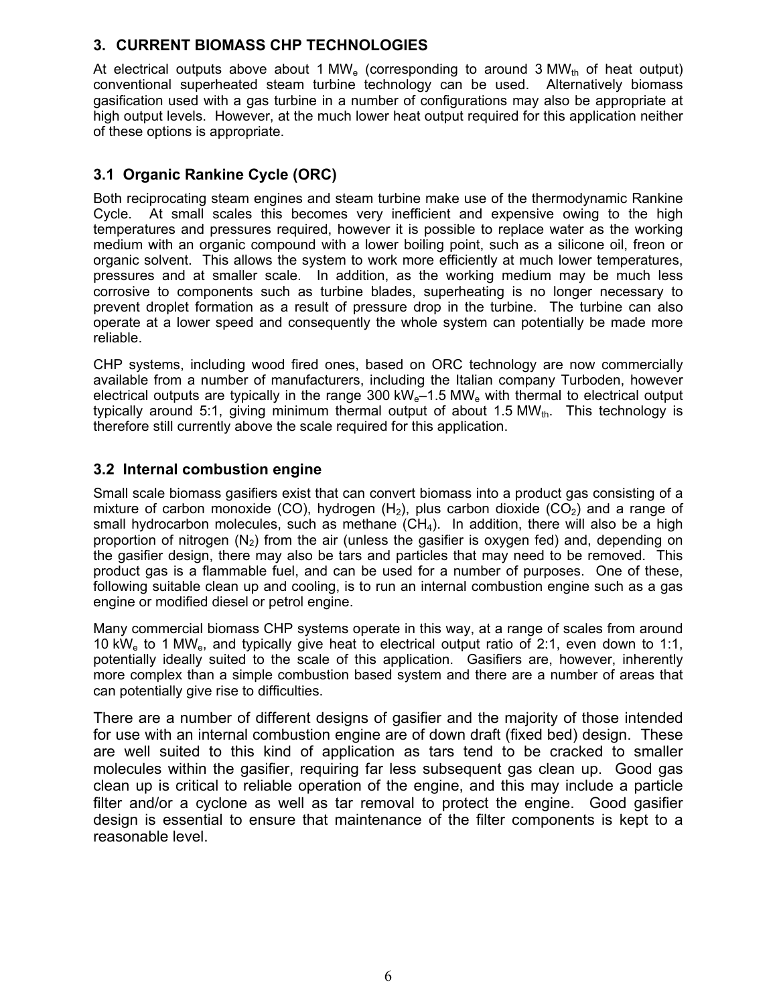## **3. CURRENT BIOMASS CHP TECHNOLOGIES**

At electrical outputs above about 1 MW<sub>e</sub> (corresponding to around 3 MW<sub>th</sub> of heat output) conventional superheated steam turbine technology can be used. Alternatively biomass gasification used with a gas turbine in a number of configurations may also be appropriate at high output levels. However, at the much lower heat output required for this application neither of these options is appropriate.

## **3.1 Organic Rankine Cycle (ORC)**

Both reciprocating steam engines and steam turbine make use of the thermodynamic Rankine Cycle. At small scales this becomes very inefficient and expensive owing to the high temperatures and pressures required, however it is possible to replace water as the working medium with an organic compound with a lower boiling point, such as a silicone oil, freon or organic solvent. This allows the system to work more efficiently at much lower temperatures, pressures and at smaller scale. In addition, as the working medium may be much less corrosive to components such as turbine blades, superheating is no longer necessary to prevent droplet formation as a result of pressure drop in the turbine. The turbine can also operate at a lower speed and consequently the whole system can potentially be made more reliable.

CHP systems, including wood fired ones, based on ORC technology are now commercially available from a number of manufacturers, including the Italian company Turboden, however electrical outputs are typically in the range 300 kW $_{e}$ –1.5 MW $_{e}$  with thermal to electrical output typically around 5:1, giving minimum thermal output of about 1.5 MW $_{th}$ . This technology is therefore still currently above the scale required for this application.

## **3.2 Internal combustion engine**

Small scale biomass gasifiers exist that can convert biomass into a product gas consisting of a mixture of carbon monoxide (CO), hydrogen  $(H_2)$ , plus carbon dioxide (CO<sub>2</sub>) and a range of small hydrocarbon molecules, such as methane  $(CH_4)$ . In addition, there will also be a high proportion of nitrogen  $(N_2)$  from the air (unless the gasifier is oxygen fed) and, depending on the gasifier design, there may also be tars and particles that may need to be removed. This product gas is a flammable fuel, and can be used for a number of purposes. One of these, following suitable clean up and cooling, is to run an internal combustion engine such as a gas engine or modified diesel or petrol engine.

Many commercial biomass CHP systems operate in this way, at a range of scales from around 10 kW<sub>e</sub> to 1 MW<sub>e</sub>, and typically give heat to electrical output ratio of 2:1, even down to 1:1, potentially ideally suited to the scale of this application. Gasifiers are, however, inherently more complex than a simple combustion based system and there are a number of areas that can potentially give rise to difficulties.

There are a number of different designs of gasifier and the majority of those intended for use with an internal combustion engine are of down draft (fixed bed) design. These are well suited to this kind of application as tars tend to be cracked to smaller molecules within the gasifier, requiring far less subsequent gas clean up. Good gas clean up is critical to reliable operation of the engine, and this may include a particle filter and/or a cyclone as well as tar removal to protect the engine. Good gasifier design is essential to ensure that maintenance of the filter components is kept to a reasonable level.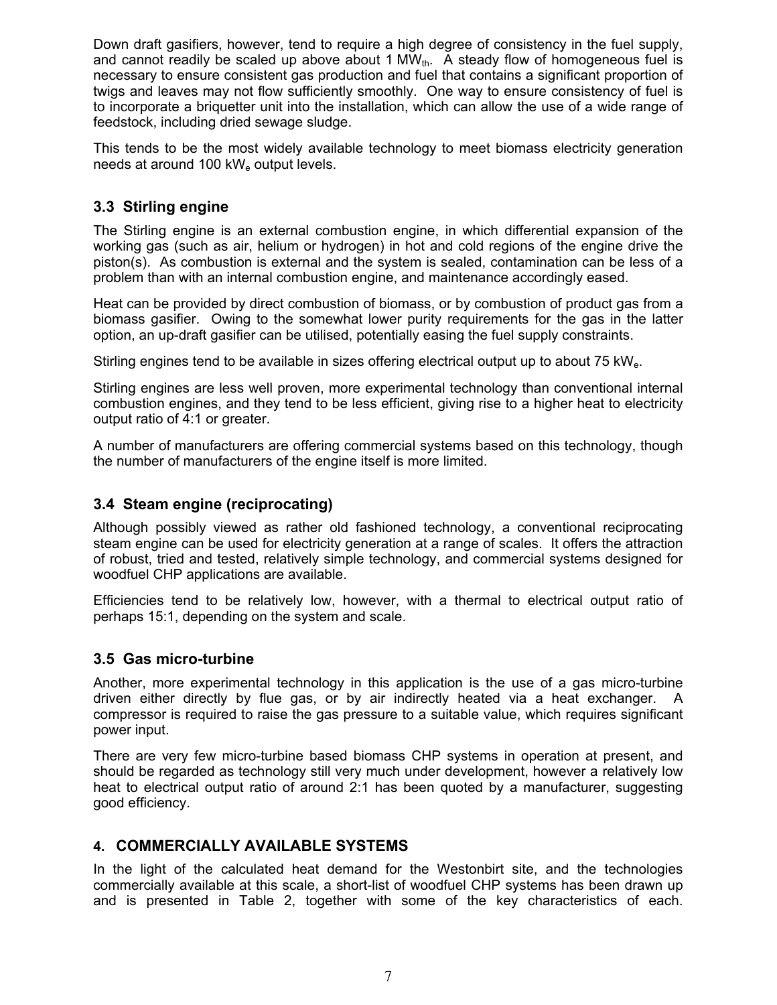Down draft gasifiers, however, tend to require a high degree of consistency in the fuel supply, and cannot readily be scaled up above about 1  $MW_{th}$ . A steady flow of homogeneous fuel is necessary to ensure consistent gas production and fuel that contains a significant proportion of twigs and leaves may not flow sufficiently smoothly. One way to ensure consistency of fuel is to incorporate a briquetter unit into the installation, which can allow the use of a wide range of feedstock, including dried sewage sludge.

This tends to be the most widely available technology to meet biomass electricity generation needs at around 100 kW $_{\rm e}$  output levels.

## **3.3 Stirling engine**

The Stirling engine is an external combustion engine, in which differential expansion of the working gas (such as air, helium or hydrogen) in hot and cold regions of the engine drive the piston(s). As combustion is external and the system is sealed, contamination can be less of a problem than with an internal combustion engine, and maintenance accordingly eased.

Heat can be provided by direct combustion of biomass, or by combustion of product gas from a biomass gasifier. Owing to the somewhat lower purity requirements for the gas in the latter option, an up-draft gasifier can be utilised, potentially easing the fuel supply constraints.

Stirling engines tend to be available in sizes offering electrical output up to about 75 kWe.

Stirling engines are less well proven, more experimental technology than conventional internal combustion engines, and they tend to be less efficient, giving rise to a higher heat to electricity output ratio of 4:1 or greater.

A number of manufacturers are offering commercial systems based on this technology, though the number of manufacturers of the engine itself is more limited.

## **3.4 Steam engine (reciprocating)**

Although possibly viewed as rather old fashioned technology, a conventional reciprocating steam engine can be used for electricity generation at a range of scales. It offers the attraction of robust, tried and tested, relatively simple technology, and commercial systems designed for woodfuel CHP applications are available.

Efficiencies tend to be relatively low, however, with a thermal to electrical output ratio of perhaps 15:1, depending on the system and scale.

## **3.5 Gas micro-turbine**

Another, more experimental technology in this application is the use of a gas micro-turbine driven either directly by flue gas, or by air indirectly heated via a heat exchanger. A compressor is required to raise the gas pressure to a suitable value, which requires significant power input.

There are very few micro-turbine based biomass CHP systems in operation at present, and should be regarded as technology still very much under development, however a relatively low heat to electrical output ratio of around 2:1 has been quoted by a manufacturer, suggesting good efficiency.

## **4. COMMERCIALLY AVAILABLE SYSTEMS**

In the light of the calculated heat demand for the Westonbirt site, and the technologies commercially available at this scale, a short-list of woodfuel CHP systems has been drawn up and is presented in Table 2, together with some of the key characteristics of each.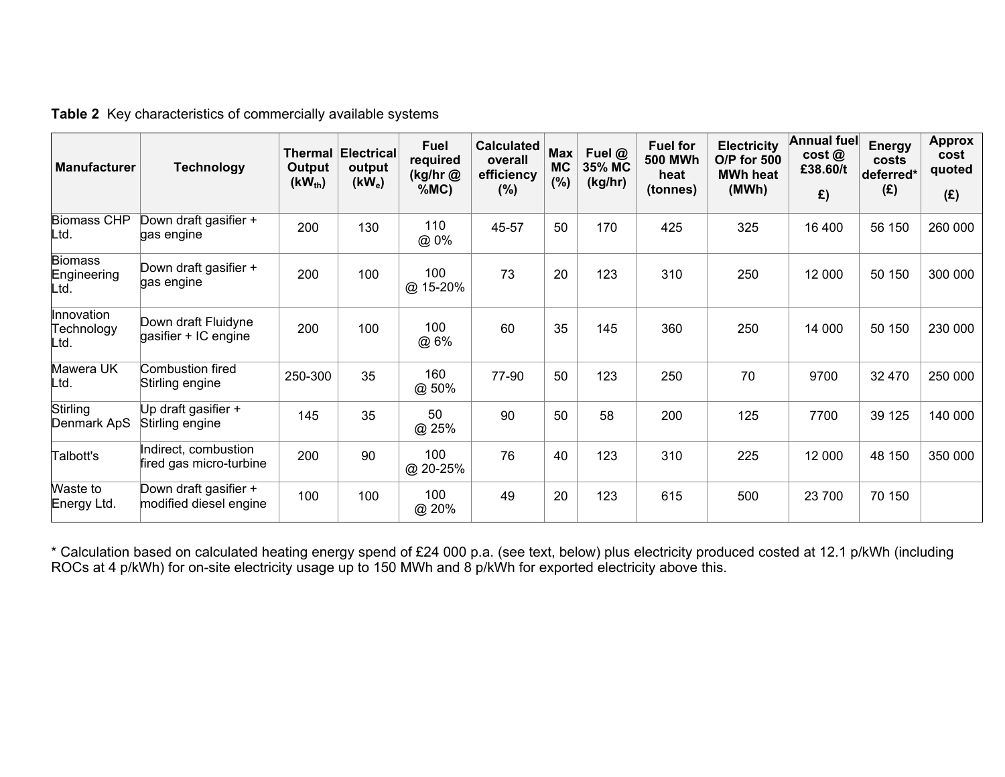| <b>Manufacturer</b>                   | <b>Technology</b>                               | Thermal<br>Output<br>$(KW_{th})$ | <b>Electrical</b><br>output<br>$(kW_e)$ | <b>Fuel</b><br>required<br>(kg/hr@<br>%MC) | <b>Calculated</b><br>overall<br>efficiency<br>$(\%)$ | <b>Max</b><br><b>MC</b><br>$(\%)$ | Fuel @<br>35% MC<br>(kg/hr) | <b>Fuel for</b><br><b>500 MWh</b><br>heat<br>(tonnes) | <b>Electricity</b><br>O/P for 500<br><b>MWh heat</b><br>(MWh) | <b>Annual fuel</b><br>cost@<br>£38.60/t<br>£) | <b>Energy</b><br>costs<br>deferred*<br>(E) | <b>Approx</b><br>cost<br>quoted<br>(E) |
|---------------------------------------|-------------------------------------------------|----------------------------------|-----------------------------------------|--------------------------------------------|------------------------------------------------------|-----------------------------------|-----------------------------|-------------------------------------------------------|---------------------------------------------------------------|-----------------------------------------------|--------------------------------------------|----------------------------------------|
| <b>Biomass CHP</b><br>Ltd.            | Down draft gasifier +<br>gas engine             | 200                              | 130                                     | 110<br>@ 0%                                | 45-57                                                | 50                                | 170                         | 425                                                   | 325                                                           | 16 400                                        | 56 150                                     | 260 000                                |
| <b>Biomass</b><br>Engineering<br>Ltd. | Down draft gasifier +<br>gas engine             | 200                              | 100                                     | 100<br>@ 15-20%                            | 73                                                   | 20                                | 123                         | 310                                                   | 250                                                           | 12 000                                        | 50 150                                     | 300 000                                |
| Innovation<br>Technology<br>Ltd.      | Down draft Fluidyne<br>gasifier + IC engine     | 200                              | 100                                     | 100<br>@ 6%                                | 60                                                   | 35                                | 145                         | 360                                                   | 250                                                           | 14 000                                        | 50 150                                     | 230 000                                |
| Mawera UK<br>Ltd.                     | <b>Combustion fired</b><br>Stirling engine      | 250-300                          | 35                                      | 160<br>@ 50%                               | 77-90                                                | 50                                | 123                         | 250                                                   | 70                                                            | 9700                                          | 32 470                                     | 250 000                                |
| Stirling<br>Denmark ApS               | Up draft gasifier +<br>Stirling engine          | 145                              | 35                                      | 50<br>@ 25%                                | 90                                                   | 50                                | 58                          | 200                                                   | 125                                                           | 7700                                          | 39 125                                     | 140 000                                |
| Talbott's                             | Indirect, combustion<br>fired gas micro-turbine | 200                              | 90                                      | 100<br>@ 20-25%                            | 76                                                   | 40                                | 123                         | 310                                                   | 225                                                           | 12 000                                        | 48 150                                     | 350 000                                |
| Waste to<br>Energy Ltd.               | Down draft gasifier +<br>modified diesel engine | 100                              | 100                                     | 100<br>@ 20%                               | 49                                                   | 20                                | 123                         | 615                                                   | 500                                                           | 23 700                                        | 70 150                                     |                                        |

**Table 2** Key characteristics of commercially available systems

\* Calculation based on calculated heating energy spend of £24 000 p.a. (see text, below) plus electricity produced costed at 12.1 p/kWh (including ROCs at 4 p/kWh) for on-site electricity usage up to 150 MWh and 8 p/kWh for exported electricity above this.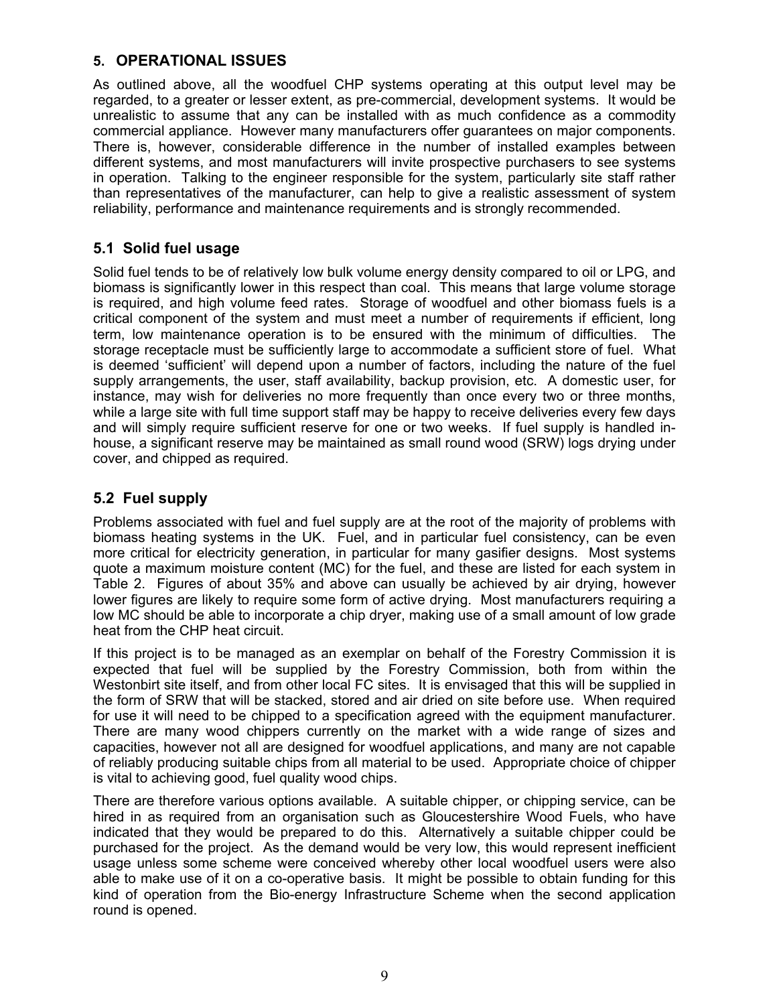## **5. OPERATIONAL ISSUES**

As outlined above, all the woodfuel CHP systems operating at this output level may be regarded, to a greater or lesser extent, as pre-commercial, development systems. It would be unrealistic to assume that any can be installed with as much confidence as a commodity commercial appliance. However many manufacturers offer guarantees on major components. There is, however, considerable difference in the number of installed examples between different systems, and most manufacturers will invite prospective purchasers to see systems in operation. Talking to the engineer responsible for the system, particularly site staff rather than representatives of the manufacturer, can help to give a realistic assessment of system reliability, performance and maintenance requirements and is strongly recommended.

## **5.1 Solid fuel usage**

Solid fuel tends to be of relatively low bulk volume energy density compared to oil or LPG, and biomass is significantly lower in this respect than coal. This means that large volume storage is required, and high volume feed rates. Storage of woodfuel and other biomass fuels is a critical component of the system and must meet a number of requirements if efficient, long term, low maintenance operation is to be ensured with the minimum of difficulties. The storage receptacle must be sufficiently large to accommodate a sufficient store of fuel. What is deemed 'sufficient' will depend upon a number of factors, including the nature of the fuel supply arrangements, the user, staff availability, backup provision, etc. A domestic user, for instance, may wish for deliveries no more frequently than once every two or three months, while a large site with full time support staff may be happy to receive deliveries every few days and will simply require sufficient reserve for one or two weeks. If fuel supply is handled inhouse, a significant reserve may be maintained as small round wood (SRW) logs drying under cover, and chipped as required.

## **5.2 Fuel supply**

Problems associated with fuel and fuel supply are at the root of the majority of problems with biomass heating systems in the UK. Fuel, and in particular fuel consistency, can be even more critical for electricity generation, in particular for many gasifier designs. Most systems quote a maximum moisture content (MC) for the fuel, and these are listed for each system in Table 2. Figures of about 35% and above can usually be achieved by air drying, however lower figures are likely to require some form of active drying. Most manufacturers requiring a low MC should be able to incorporate a chip dryer, making use of a small amount of low grade heat from the CHP heat circuit.

If this project is to be managed as an exemplar on behalf of the Forestry Commission it is expected that fuel will be supplied by the Forestry Commission, both from within the Westonbirt site itself, and from other local FC sites. It is envisaged that this will be supplied in the form of SRW that will be stacked, stored and air dried on site before use. When required for use it will need to be chipped to a specification agreed with the equipment manufacturer. There are many wood chippers currently on the market with a wide range of sizes and capacities, however not all are designed for woodfuel applications, and many are not capable of reliably producing suitable chips from all material to be used. Appropriate choice of chipper is vital to achieving good, fuel quality wood chips.

There are therefore various options available. A suitable chipper, or chipping service, can be hired in as required from an organisation such as Gloucestershire Wood Fuels, who have indicated that they would be prepared to do this. Alternatively a suitable chipper could be purchased for the project. As the demand would be very low, this would represent inefficient usage unless some scheme were conceived whereby other local woodfuel users were also able to make use of it on a co-operative basis. It might be possible to obtain funding for this kind of operation from the Bio-energy Infrastructure Scheme when the second application round is opened.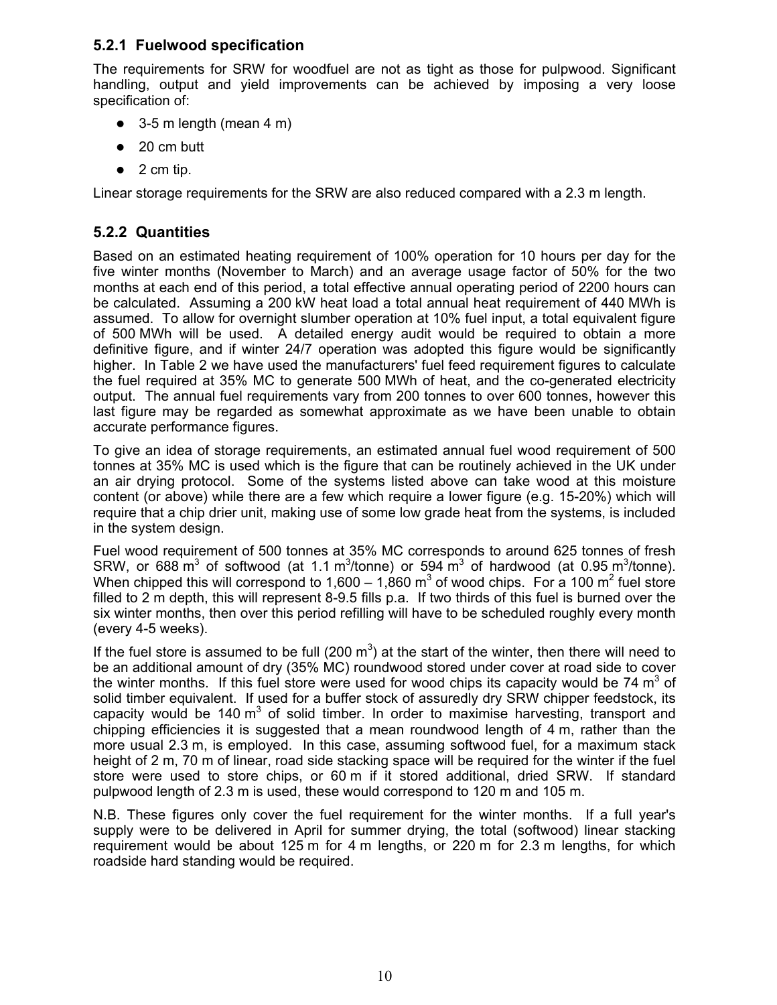## **5.2.1 Fuelwood specification**

The requirements for SRW for woodfuel are not as tight as those for pulpwood. Significant handling, output and yield improvements can be achieved by imposing a very loose specification of:

- $\bullet$  3-5 m length (mean 4 m)
- $\bullet$  20 cm butt
- $\bullet$  2 cm tip.

Linear storage requirements for the SRW are also reduced compared with a 2.3 m length.

## **5.2.2 Quantities**

Based on an estimated heating requirement of 100% operation for 10 hours per day for the five winter months (November to March) and an average usage factor of 50% for the two months at each end of this period, a total effective annual operating period of 2200 hours can be calculated. Assuming a 200 kW heat load a total annual heat requirement of 440 MWh is assumed. To allow for overnight slumber operation at 10% fuel input, a total equivalent figure of 500 MWh will be used. A detailed energy audit would be required to obtain a more definitive figure, and if winter 24/7 operation was adopted this figure would be significantly higher. In Table 2 we have used the manufacturers' fuel feed requirement figures to calculate the fuel required at 35% MC to generate 500 MWh of heat, and the co-generated electricity output. The annual fuel requirements vary from 200 tonnes to over 600 tonnes, however this last figure may be regarded as somewhat approximate as we have been unable to obtain accurate performance figures.

To give an idea of storage requirements, an estimated annual fuel wood requirement of 500 tonnes at 35% MC is used which is the figure that can be routinely achieved in the UK under an air drying protocol. Some of the systems listed above can take wood at this moisture content (or above) while there are a few which require a lower figure (e.g. 15-20%) which will require that a chip drier unit, making use of some low grade heat from the systems, is included in the system design.

Fuel wood requirement of 500 tonnes at 35% MC corresponds to around 625 tonnes of fresh SRW, or 688 m<sup>3</sup> of softwood (at 1.1 m<sup>3</sup>/tonne) or 594 m<sup>3</sup> of hardwood (at 0.95 m<sup>3</sup>/tonne). When chipped this will correspond to 1,600 – 1,860 m<sup>3</sup> of wood chips. For a 100 m<sup>2</sup> fuel store filled to 2 m depth, this will represent 8-9.5 fills p.a. If two thirds of this fuel is burned over the six winter months, then over this period refilling will have to be scheduled roughly every month (every 4-5 weeks).

If the fuel store is assumed to be full (200  $m<sup>3</sup>$ ) at the start of the winter, then there will need to be an additional amount of dry (35% MC) roundwood stored under cover at road side to cover the winter months. If this fuel store were used for wood chips its capacity would be 74  $m<sup>3</sup>$  of solid timber equivalent. If used for a buffer stock of assuredly dry SRW chipper feedstock, its capacity would be 140  $m^3$  of solid timber. In order to maximise harvesting, transport and chipping efficiencies it is suggested that a mean roundwood length of 4 m, rather than the more usual 2.3 m, is employed. In this case, assuming softwood fuel, for a maximum stack height of 2 m, 70 m of linear, road side stacking space will be required for the winter if the fuel store were used to store chips, or 60 m if it stored additional, dried SRW. If standard pulpwood length of 2.3 m is used, these would correspond to 120 m and 105 m.

N.B. These figures only cover the fuel requirement for the winter months. If a full year's supply were to be delivered in April for summer drying, the total (softwood) linear stacking requirement would be about 125 m for 4 m lengths, or 220 m for 2.3 m lengths, for which roadside hard standing would be required.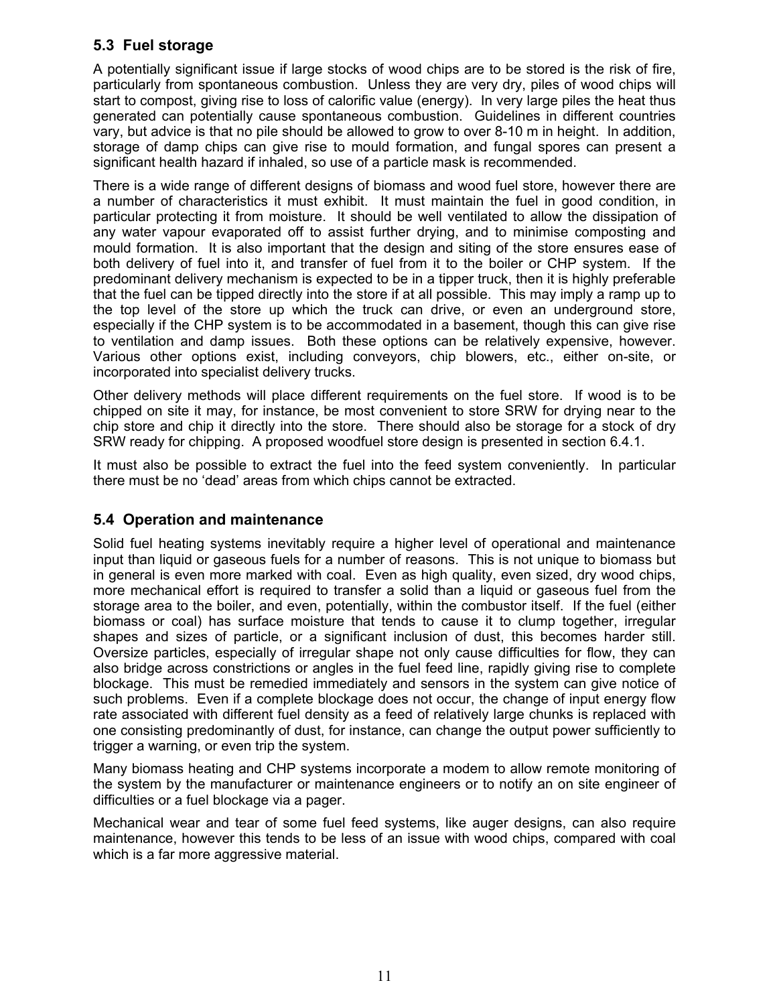## **5.3 Fuel storage**

A potentially significant issue if large stocks of wood chips are to be stored is the risk of fire, particularly from spontaneous combustion. Unless they are very dry, piles of wood chips will start to compost, giving rise to loss of calorific value (energy). In very large piles the heat thus generated can potentially cause spontaneous combustion. Guidelines in different countries vary, but advice is that no pile should be allowed to grow to over 8-10 m in height. In addition, storage of damp chips can give rise to mould formation, and fungal spores can present a significant health hazard if inhaled, so use of a particle mask is recommended.

There is a wide range of different designs of biomass and wood fuel store, however there are a number of characteristics it must exhibit. It must maintain the fuel in good condition, in particular protecting it from moisture. It should be well ventilated to allow the dissipation of any water vapour evaporated off to assist further drying, and to minimise composting and mould formation. It is also important that the design and siting of the store ensures ease of both delivery of fuel into it, and transfer of fuel from it to the boiler or CHP system. If the predominant delivery mechanism is expected to be in a tipper truck, then it is highly preferable that the fuel can be tipped directly into the store if at all possible. This may imply a ramp up to the top level of the store up which the truck can drive, or even an underground store, especially if the CHP system is to be accommodated in a basement, though this can give rise to ventilation and damp issues. Both these options can be relatively expensive, however. Various other options exist, including conveyors, chip blowers, etc., either on-site, or incorporated into specialist delivery trucks.

Other delivery methods will place different requirements on the fuel store. If wood is to be chipped on site it may, for instance, be most convenient to store SRW for drying near to the chip store and chip it directly into the store. There should also be storage for a stock of dry SRW ready for chipping. A proposed woodfuel store design is presented in section 6.4.1.

It must also be possible to extract the fuel into the feed system conveniently. In particular there must be no 'dead' areas from which chips cannot be extracted.

## **5.4 Operation and maintenance**

Solid fuel heating systems inevitably require a higher level of operational and maintenance input than liquid or gaseous fuels for a number of reasons. This is not unique to biomass but in general is even more marked with coal. Even as high quality, even sized, dry wood chips, more mechanical effort is required to transfer a solid than a liquid or gaseous fuel from the storage area to the boiler, and even, potentially, within the combustor itself. If the fuel (either biomass or coal) has surface moisture that tends to cause it to clump together, irregular shapes and sizes of particle, or a significant inclusion of dust, this becomes harder still. Oversize particles, especially of irregular shape not only cause difficulties for flow, they can also bridge across constrictions or angles in the fuel feed line, rapidly giving rise to complete blockage. This must be remedied immediately and sensors in the system can give notice of such problems. Even if a complete blockage does not occur, the change of input energy flow rate associated with different fuel density as a feed of relatively large chunks is replaced with one consisting predominantly of dust, for instance, can change the output power sufficiently to trigger a warning, or even trip the system.

Many biomass heating and CHP systems incorporate a modem to allow remote monitoring of the system by the manufacturer or maintenance engineers or to notify an on site engineer of difficulties or a fuel blockage via a pager.

Mechanical wear and tear of some fuel feed systems, like auger designs, can also require maintenance, however this tends to be less of an issue with wood chips, compared with coal which is a far more aggressive material.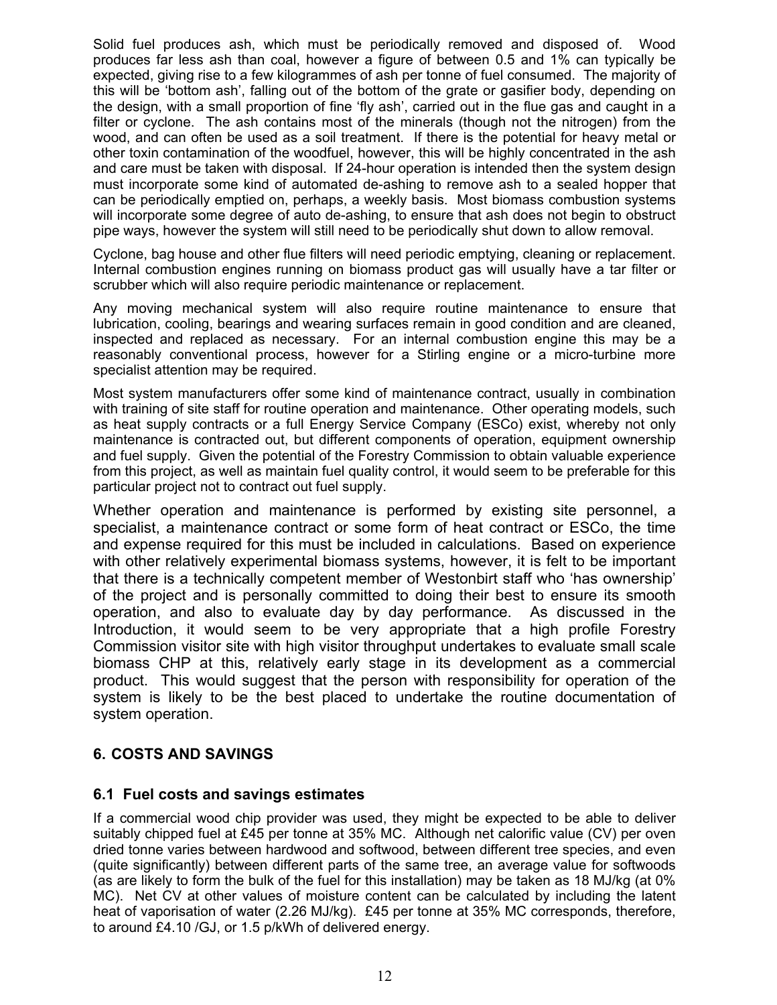Solid fuel produces ash, which must be periodically removed and disposed of. Wood produces far less ash than coal, however a figure of between 0.5 and 1% can typically be expected, giving rise to a few kilogrammes of ash per tonne of fuel consumed. The majority of this will be 'bottom ash', falling out of the bottom of the grate or gasifier body, depending on the design, with a small proportion of fine 'fly ash', carried out in the flue gas and caught in a filter or cyclone. The ash contains most of the minerals (though not the nitrogen) from the wood, and can often be used as a soil treatment. If there is the potential for heavy metal or other toxin contamination of the woodfuel, however, this will be highly concentrated in the ash and care must be taken with disposal. If 24-hour operation is intended then the system design must incorporate some kind of automated de-ashing to remove ash to a sealed hopper that can be periodically emptied on, perhaps, a weekly basis. Most biomass combustion systems will incorporate some degree of auto de-ashing, to ensure that ash does not begin to obstruct pipe ways, however the system will still need to be periodically shut down to allow removal.

Cyclone, bag house and other flue filters will need periodic emptying, cleaning or replacement. Internal combustion engines running on biomass product gas will usually have a tar filter or scrubber which will also require periodic maintenance or replacement.

Any moving mechanical system will also require routine maintenance to ensure that lubrication, cooling, bearings and wearing surfaces remain in good condition and are cleaned, inspected and replaced as necessary. For an internal combustion engine this may be a reasonably conventional process, however for a Stirling engine or a micro-turbine more specialist attention may be required.

Most system manufacturers offer some kind of maintenance contract, usually in combination with training of site staff for routine operation and maintenance. Other operating models, such as heat supply contracts or a full Energy Service Company (ESCo) exist, whereby not only maintenance is contracted out, but different components of operation, equipment ownership and fuel supply. Given the potential of the Forestry Commission to obtain valuable experience from this project, as well as maintain fuel quality control, it would seem to be preferable for this particular project not to contract out fuel supply.

Whether operation and maintenance is performed by existing site personnel, a specialist, a maintenance contract or some form of heat contract or ESCo, the time and expense required for this must be included in calculations. Based on experience with other relatively experimental biomass systems, however, it is felt to be important that there is a technically competent member of Westonbirt staff who 'has ownership' of the project and is personally committed to doing their best to ensure its smooth operation, and also to evaluate day by day performance. As discussed in the Introduction, it would seem to be very appropriate that a high profile Forestry Commission visitor site with high visitor throughput undertakes to evaluate small scale biomass CHP at this, relatively early stage in its development as a commercial product. This would suggest that the person with responsibility for operation of the system is likely to be the best placed to undertake the routine documentation of system operation.

## **6. COSTS AND SAVINGS**

#### **6.1 Fuel costs and savings estimates**

If a commercial wood chip provider was used, they might be expected to be able to deliver suitably chipped fuel at £45 per tonne at 35% MC. Although net calorific value (CV) per oven dried tonne varies between hardwood and softwood, between different tree species, and even (quite significantly) between different parts of the same tree, an average value for softwoods (as are likely to form the bulk of the fuel for this installation) may be taken as 18 MJ/kg (at 0% MC). Net CV at other values of moisture content can be calculated by including the latent heat of vaporisation of water (2.26 MJ/kg). £45 per tonne at 35% MC corresponds, therefore, to around £4.10 /GJ, or 1.5 p/kWh of delivered energy.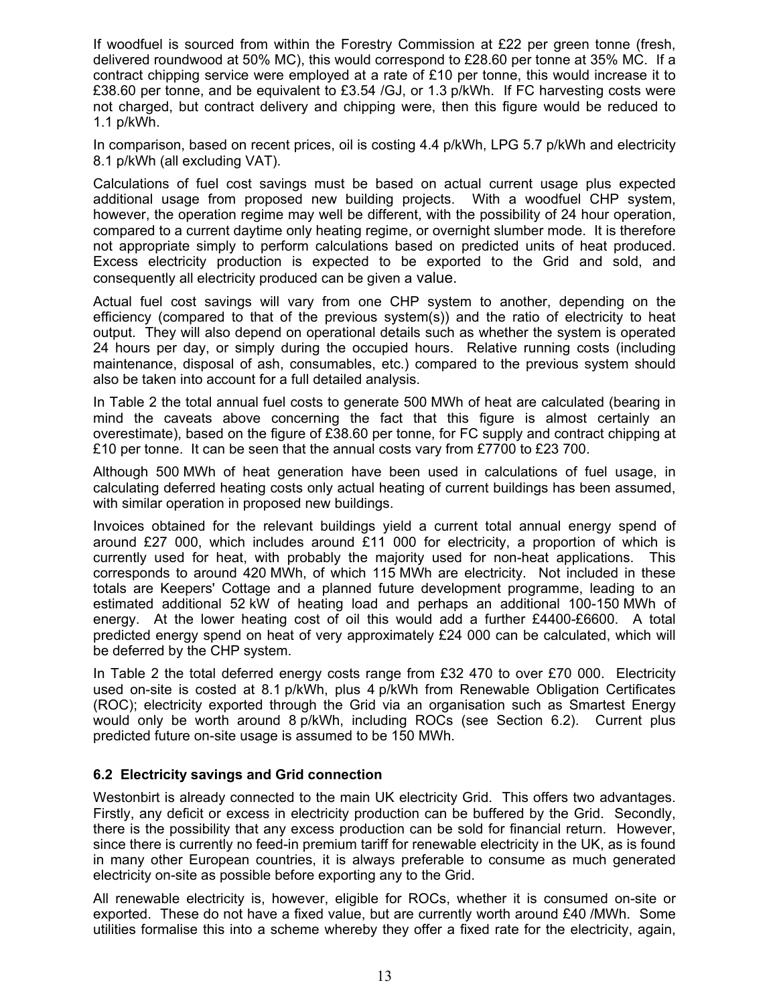If woodfuel is sourced from within the Forestry Commission at £22 per green tonne (fresh, delivered roundwood at 50% MC), this would correspond to £28.60 per tonne at 35% MC. If a contract chipping service were employed at a rate of £10 per tonne, this would increase it to £38.60 per tonne, and be equivalent to £3.54 /GJ, or 1.3 p/kWh. If FC harvesting costs were not charged, but contract delivery and chipping were, then this figure would be reduced to 1.1 p/kWh.

In comparison, based on recent prices, oil is costing 4.4 p/kWh, LPG 5.7 p/kWh and electricity 8.1 p/kWh (all excluding VAT).

Calculations of fuel cost savings must be based on actual current usage plus expected additional usage from proposed new building projects. With a woodfuel CHP system, however, the operation regime may well be different, with the possibility of 24 hour operation, compared to a current daytime only heating regime, or overnight slumber mode. It is therefore not appropriate simply to perform calculations based on predicted units of heat produced. Excess electricity production is expected to be exported to the Grid and sold, and consequently all electricity produced can be given a value.

Actual fuel cost savings will vary from one CHP system to another, depending on the efficiency (compared to that of the previous system(s)) and the ratio of electricity to heat output. They will also depend on operational details such as whether the system is operated 24 hours per day, or simply during the occupied hours. Relative running costs (including maintenance, disposal of ash, consumables, etc.) compared to the previous system should also be taken into account for a full detailed analysis.

In Table 2 the total annual fuel costs to generate 500 MWh of heat are calculated (bearing in mind the caveats above concerning the fact that this figure is almost certainly an overestimate), based on the figure of £38.60 per tonne, for FC supply and contract chipping at £10 per tonne. It can be seen that the annual costs vary from £7700 to £23 700.

Although 500 MWh of heat generation have been used in calculations of fuel usage, in calculating deferred heating costs only actual heating of current buildings has been assumed, with similar operation in proposed new buildings.

Invoices obtained for the relevant buildings yield a current total annual energy spend of around £27 000, which includes around £11 000 for electricity, a proportion of which is currently used for heat, with probably the majority used for non-heat applications. This corresponds to around 420 MWh, of which 115 MWh are electricity. Not included in these totals are Keepers' Cottage and a planned future development programme, leading to an estimated additional 52 kW of heating load and perhaps an additional 100-150 MWh of energy. At the lower heating cost of oil this would add a further £4400-£6600. A total predicted energy spend on heat of very approximately £24 000 can be calculated, which will be deferred by the CHP system.

In Table 2 the total deferred energy costs range from  $£32$  470 to over  $£70$  000. Electricity used on-site is costed at 8.1 p/kWh, plus 4 p/kWh from Renewable Obligation Certificates (ROC); electricity exported through the Grid via an organisation such as Smartest Energy would only be worth around 8 p/kWh, including ROCs (see Section 6.2). Current plus predicted future on-site usage is assumed to be 150 MWh.

#### **6.2 Electricity savings and Grid connection**

Westonbirt is already connected to the main UK electricity Grid. This offers two advantages. Firstly, any deficit or excess in electricity production can be buffered by the Grid. Secondly, there is the possibility that any excess production can be sold for financial return. However, since there is currently no feed-in premium tariff for renewable electricity in the UK, as is found in many other European countries, it is always preferable to consume as much generated electricity on-site as possible before exporting any to the Grid.

All renewable electricity is, however, eligible for ROCs, whether it is consumed on-site or exported. These do not have a fixed value, but are currently worth around £40 /MWh. Some utilities formalise this into a scheme whereby they offer a fixed rate for the electricity, again,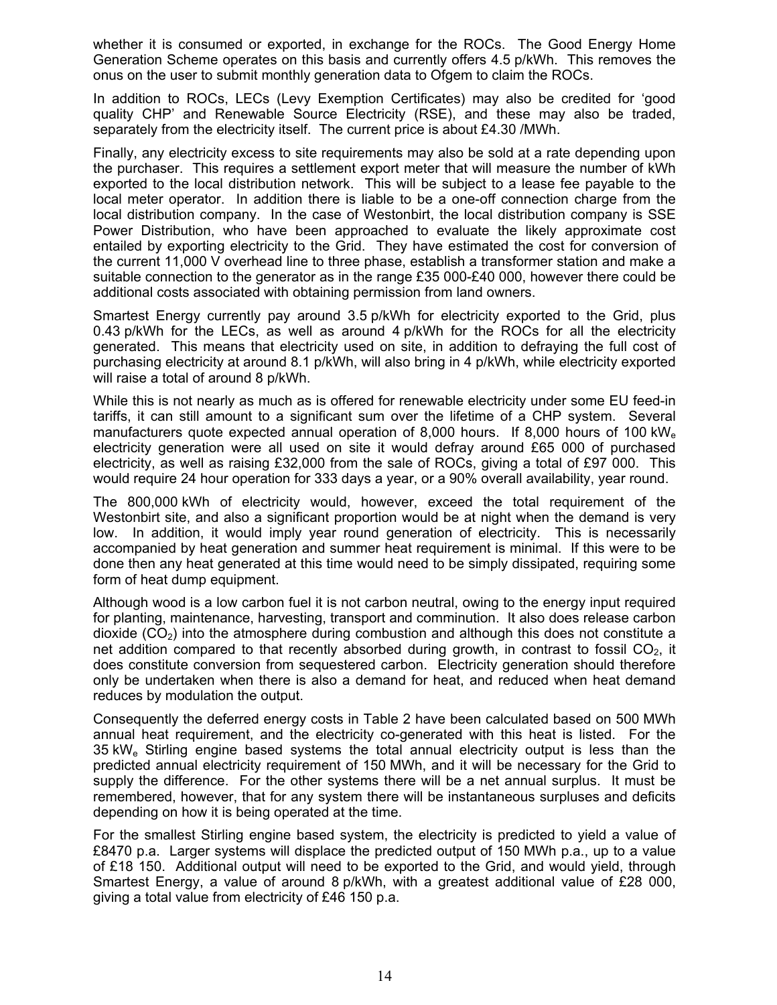whether it is consumed or exported, in exchange for the ROCs. The Good Energy Home Generation Scheme operates on this basis and currently offers 4.5 p/kWh. This removes the onus on the user to submit monthly generation data to Ofgem to claim the ROCs.

In addition to ROCs, LECs (Levy Exemption Certificates) may also be credited for 'good quality CHP' and Renewable Source Electricity (RSE), and these may also be traded, separately from the electricity itself. The current price is about £4.30 /MWh.

Finally, any electricity excess to site requirements may also be sold at a rate depending upon the purchaser. This requires a settlement export meter that will measure the number of kWh exported to the local distribution network. This will be subject to a lease fee payable to the local meter operator. In addition there is liable to be a one-off connection charge from the local distribution company. In the case of Westonbirt, the local distribution company is SSE Power Distribution, who have been approached to evaluate the likely approximate cost entailed by exporting electricity to the Grid. They have estimated the cost for conversion of the current 11,000 V overhead line to three phase, establish a transformer station and make a suitable connection to the generator as in the range £35 000-£40 000, however there could be additional costs associated with obtaining permission from land owners.

Smartest Energy currently pay around 3.5 p/kWh for electricity exported to the Grid, plus 0.43 p/kWh for the LECs, as well as around 4 p/kWh for the ROCs for all the electricity generated. This means that electricity used on site, in addition to defraying the full cost of purchasing electricity at around 8.1 p/kWh, will also bring in 4 p/kWh, while electricity exported will raise a total of around 8 p/kWh.

While this is not nearly as much as is offered for renewable electricity under some EU feed-in tariffs, it can still amount to a significant sum over the lifetime of a CHP system. Several manufacturers quote expected annual operation of 8,000 hours. If 8,000 hours of 100 kW<sub>e</sub> electricity generation were all used on site it would defray around £65 000 of purchased electricity, as well as raising £32,000 from the sale of ROCs, giving a total of £97 000. This would require 24 hour operation for 333 days a year, or a 90% overall availability, year round.

The 800,000 kWh of electricity would, however, exceed the total requirement of the Westonbirt site, and also a significant proportion would be at night when the demand is very low. In addition, it would imply year round generation of electricity. This is necessarily accompanied by heat generation and summer heat requirement is minimal. If this were to be done then any heat generated at this time would need to be simply dissipated, requiring some form of heat dump equipment.

Although wood is a low carbon fuel it is not carbon neutral, owing to the energy input required for planting, maintenance, harvesting, transport and comminution. It also does release carbon dioxide  $(CO<sub>2</sub>)$  into the atmosphere during combustion and although this does not constitute a net addition compared to that recently absorbed during growth, in contrast to fossil  $CO<sub>2</sub>$ , it does constitute conversion from sequestered carbon. Electricity generation should therefore only be undertaken when there is also a demand for heat, and reduced when heat demand reduces by modulation the output.

Consequently the deferred energy costs in Table 2 have been calculated based on 500 MWh annual heat requirement, and the electricity co-generated with this heat is listed. For the 35 kWe Stirling engine based systems the total annual electricity output is less than the predicted annual electricity requirement of 150 MWh, and it will be necessary for the Grid to supply the difference. For the other systems there will be a net annual surplus. It must be remembered, however, that for any system there will be instantaneous surpluses and deficits depending on how it is being operated at the time.

For the smallest Stirling engine based system, the electricity is predicted to yield a value of £8470 p.a. Larger systems will displace the predicted output of 150 MWh p.a., up to a value of £18 150. Additional output will need to be exported to the Grid, and would yield, through Smartest Energy, a value of around 8 p/kWh, with a greatest additional value of £28 000, giving a total value from electricity of £46 150 p.a.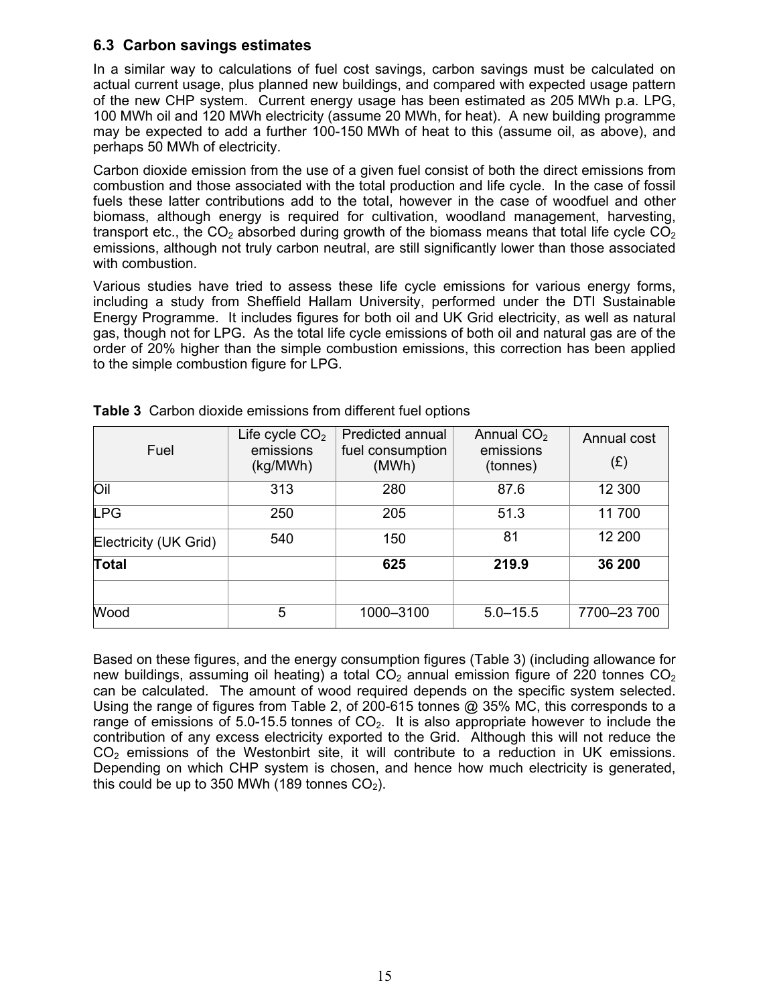## **6.3 Carbon savings estimates**

In a similar way to calculations of fuel cost savings, carbon savings must be calculated on actual current usage, plus planned new buildings, and compared with expected usage pattern of the new CHP system. Current energy usage has been estimated as 205 MWh p.a. LPG, 100 MWh oil and 120 MWh electricity (assume 20 MWh, for heat). A new building programme may be expected to add a further 100-150 MWh of heat to this (assume oil, as above), and perhaps 50 MWh of electricity.

Carbon dioxide emission from the use of a given fuel consist of both the direct emissions from combustion and those associated with the total production and life cycle. In the case of fossil fuels these latter contributions add to the total, however in the case of woodfuel and other biomass, although energy is required for cultivation, woodland management, harvesting, transport etc., the CO<sub>2</sub> absorbed during growth of the biomass means that total life cycle CO<sub>2</sub> emissions, although not truly carbon neutral, are still significantly lower than those associated with combustion.

Various studies have tried to assess these life cycle emissions for various energy forms, including a study from Sheffield Hallam University, performed under the DTI Sustainable Energy Programme. It includes figures for both oil and UK Grid electricity, as well as natural gas, though not for LPG. As the total life cycle emissions of both oil and natural gas are of the order of 20% higher than the simple combustion emissions, this correction has been applied to the simple combustion figure for LPG.

| Fuel                  | Life cycle $CO2$<br>emissions<br>(kg/MWh) | Predicted annual<br>fuel consumption<br>(MWh) | Annual $CO2$<br>emissions<br>(tonnes) | Annual cost<br>(E) |
|-----------------------|-------------------------------------------|-----------------------------------------------|---------------------------------------|--------------------|
| Oil                   | 313                                       | 280                                           | 87.6                                  | 12 300             |
| <b>LPG</b>            | 250                                       | 205                                           | 51.3                                  | 11700              |
| Electricity (UK Grid) | 540                                       | 150                                           | 81                                    | 12 200             |
| <b>Total</b>          |                                           | 625                                           | 219.9                                 | 36 200             |
|                       |                                           |                                               |                                       |                    |
| Wood                  | 5                                         | 1000-3100                                     | $5.0 - 15.5$                          | 7700-23700         |

**Table 3** Carbon dioxide emissions from different fuel options

Based on these figures, and the energy consumption figures (Table 3) (including allowance for new buildings, assuming oil heating) a total  $CO<sub>2</sub>$  annual emission figure of 220 tonnes  $CO<sub>2</sub>$ can be calculated. The amount of wood required depends on the specific system selected. Using the range of figures from Table 2, of 200-615 tonnes @ 35% MC, this corresponds to a range of emissions of 5.0-15.5 tonnes of  $CO<sub>2</sub>$ . It is also appropriate however to include the contribution of any excess electricity exported to the Grid. Although this will not reduce the  $CO<sub>2</sub>$  emissions of the Westonbirt site, it will contribute to a reduction in UK emissions. Depending on which CHP system is chosen, and hence how much electricity is generated, this could be up to 350 MWh (189 tonnes  $CO<sub>2</sub>$ ).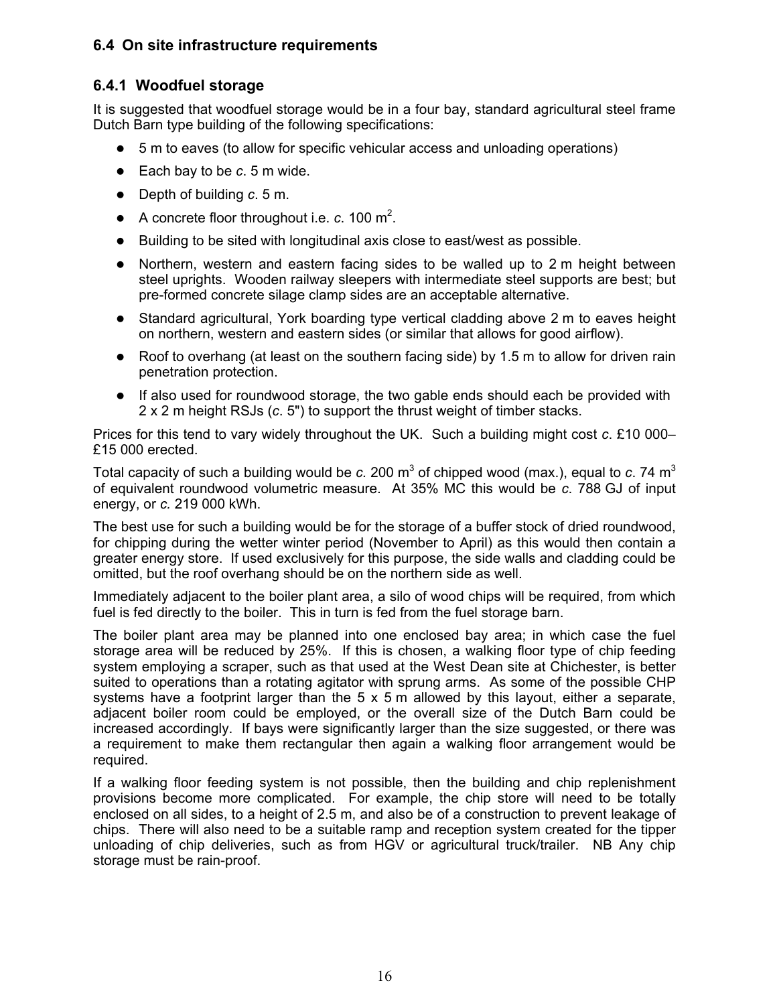## **6.4 On site infrastructure requirements**

## **6.4.1 Woodfuel storage**

It is suggested that woodfuel storage would be in a four bay, standard agricultural steel frame Dutch Barn type building of the following specifications:

- 5 m to eaves (to allow for specific vehicular access and unloading operations)
- Each bay to be *c*. 5 m wide.
- z Depth of building *c*. 5 m.
- $\bullet$  A concrete floor throughout i.e. *c*. 100 m<sup>2</sup>.
- $\bullet$  Building to be sited with longitudinal axis close to east/west as possible.
- $\bullet$  Northern, western and eastern facing sides to be walled up to 2 m height between steel uprights. Wooden railway sleepers with intermediate steel supports are best; but pre-formed concrete silage clamp sides are an acceptable alternative.
- Standard agricultural, York boarding type vertical cladding above 2 m to eaves height on northern, western and eastern sides (or similar that allows for good airflow).
- Roof to overhang (at least on the southern facing side) by 1.5 m to allow for driven rain penetration protection.
- If also used for roundwood storage, the two gable ends should each be provided with 2 x 2 m height RSJs (*c*. 5") to support the thrust weight of timber stacks.

Prices for this tend to vary widely throughout the UK. Such a building might cost *c*. £10 000– £15 000 erected.

Total capacity of such a building would be  $c$ . 200 m<sup>3</sup> of chipped wood (max.), equal to  $c$ . 74 m<sup>3</sup> of equivalent roundwood volumetric measure. At 35% MC this would be *c*. 788 GJ of input energy, or *c.* 219 000 kWh.

The best use for such a building would be for the storage of a buffer stock of dried roundwood, for chipping during the wetter winter period (November to April) as this would then contain a greater energy store. If used exclusively for this purpose, the side walls and cladding could be omitted, but the roof overhang should be on the northern side as well.

Immediately adjacent to the boiler plant area, a silo of wood chips will be required, from which fuel is fed directly to the boiler. This in turn is fed from the fuel storage barn.

The boiler plant area may be planned into one enclosed bay area; in which case the fuel storage area will be reduced by 25%. If this is chosen, a walking floor type of chip feeding system employing a scraper, such as that used at the West Dean site at Chichester, is better suited to operations than a rotating agitator with sprung arms. As some of the possible CHP systems have a footprint larger than the 5 x 5 m allowed by this layout, either a separate, adjacent boiler room could be employed, or the overall size of the Dutch Barn could be increased accordingly. If bays were significantly larger than the size suggested, or there was a requirement to make them rectangular then again a walking floor arrangement would be required.

If a walking floor feeding system is not possible, then the building and chip replenishment provisions become more complicated. For example, the chip store will need to be totally enclosed on all sides, to a height of 2.5 m, and also be of a construction to prevent leakage of chips. There will also need to be a suitable ramp and reception system created for the tipper unloading of chip deliveries, such as from HGV or agricultural truck/trailer. NB Any chip storage must be rain-proof.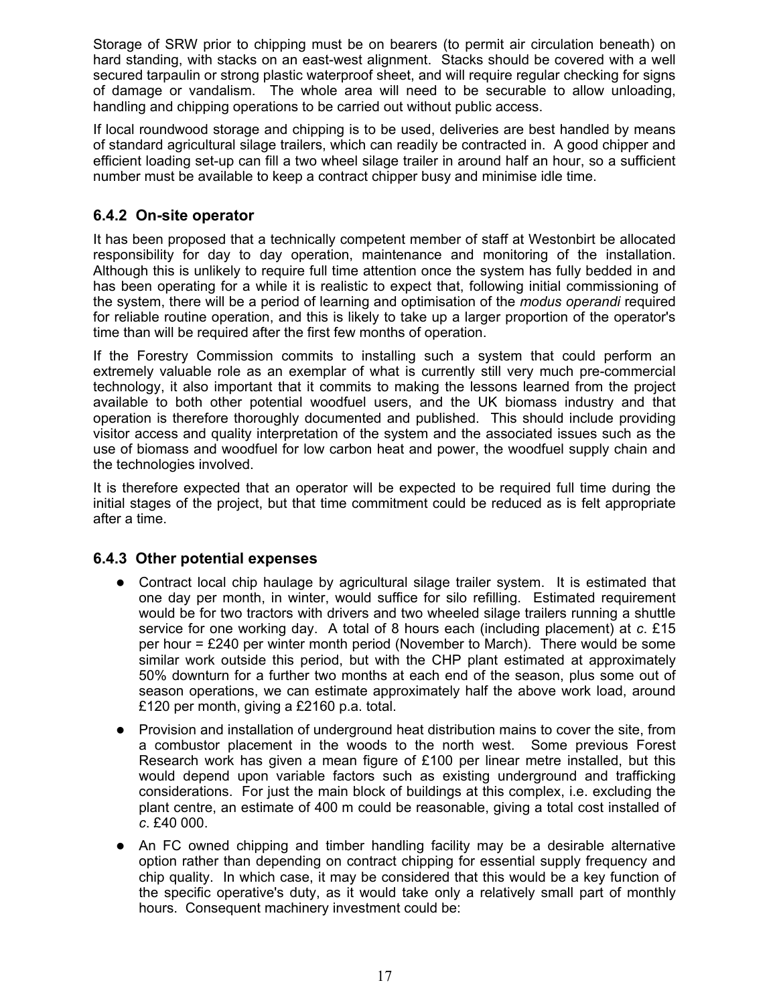Storage of SRW prior to chipping must be on bearers (to permit air circulation beneath) on hard standing, with stacks on an east-west alignment. Stacks should be covered with a well secured tarpaulin or strong plastic waterproof sheet, and will require regular checking for signs of damage or vandalism. The whole area will need to be securable to allow unloading, handling and chipping operations to be carried out without public access.

If local roundwood storage and chipping is to be used, deliveries are best handled by means of standard agricultural silage trailers, which can readily be contracted in. A good chipper and efficient loading set-up can fill a two wheel silage trailer in around half an hour, so a sufficient number must be available to keep a contract chipper busy and minimise idle time.

## **6.4.2 On-site operator**

It has been proposed that a technically competent member of staff at Westonbirt be allocated responsibility for day to day operation, maintenance and monitoring of the installation. Although this is unlikely to require full time attention once the system has fully bedded in and has been operating for a while it is realistic to expect that, following initial commissioning of the system, there will be a period of learning and optimisation of the *modus operandi* required for reliable routine operation, and this is likely to take up a larger proportion of the operator's time than will be required after the first few months of operation.

If the Forestry Commission commits to installing such a system that could perform an extremely valuable role as an exemplar of what is currently still very much pre-commercial technology, it also important that it commits to making the lessons learned from the project available to both other potential woodfuel users, and the UK biomass industry and that operation is therefore thoroughly documented and published. This should include providing visitor access and quality interpretation of the system and the associated issues such as the use of biomass and woodfuel for low carbon heat and power, the woodfuel supply chain and the technologies involved.

It is therefore expected that an operator will be expected to be required full time during the initial stages of the project, but that time commitment could be reduced as is felt appropriate after a time.

## **6.4.3 Other potential expenses**

- Contract local chip haulage by agricultural silage trailer system. It is estimated that one day per month, in winter, would suffice for silo refilling. Estimated requirement would be for two tractors with drivers and two wheeled silage trailers running a shuttle service for one working day. A total of 8 hours each (including placement) at *c*. £15 per hour  $=$  £240 per winter month period (November to March). There would be some similar work outside this period, but with the CHP plant estimated at approximately 50% downturn for a further two months at each end of the season, plus some out of season operations, we can estimate approximately half the above work load, around £120 per month, giving a £2160 p.a. total.
- Provision and installation of underground heat distribution mains to cover the site, from a combustor placement in the woods to the north west. Some previous Forest Research work has given a mean figure of £100 per linear metre installed, but this would depend upon variable factors such as existing underground and trafficking considerations. For just the main block of buildings at this complex, i.e. excluding the plant centre, an estimate of 400 m could be reasonable, giving a total cost installed of *c*. £40 000.
- $\bullet$  An FC owned chipping and timber handling facility may be a desirable alternative option rather than depending on contract chipping for essential supply frequency and chip quality. In which case, it may be considered that this would be a key function of the specific operative's duty, as it would take only a relatively small part of monthly hours. Consequent machinery investment could be: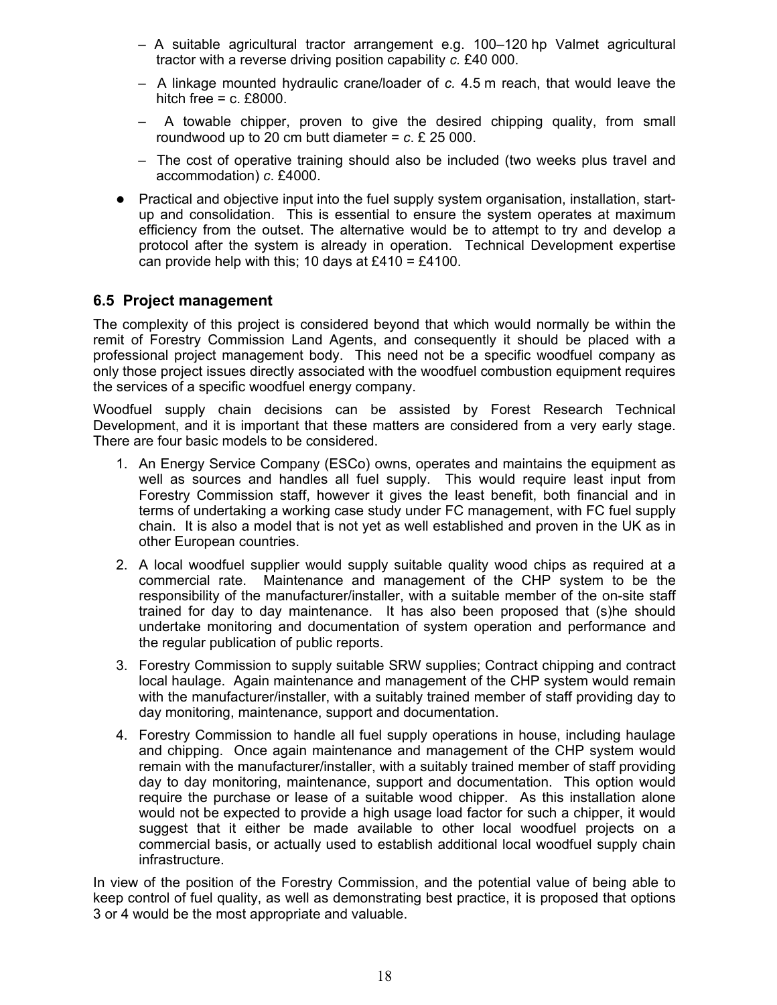- A suitable agricultural tractor arrangement e.g. 100–120 hp Valmet agricultural tractor with a reverse driving position capability *c.* £40 000.
- A linkage mounted hydraulic crane/loader of *c.* 4.5 m reach, that would leave the hitch free  $=$  c. £8000.
- A towable chipper, proven to give the desired chipping quality, from small roundwood up to 20 cm butt diameter  $= c$ . £ 25 000.
- The cost of operative training should also be included (two weeks plus travel and accommodation) *c*. £4000.
- Practical and objective input into the fuel supply system organisation, installation, startup and consolidation. This is essential to ensure the system operates at maximum efficiency from the outset. The alternative would be to attempt to try and develop a protocol after the system is already in operation. Technical Development expertise can provide help with this; 10 days at £410 = £4100.

## **6.5 Project management**

The complexity of this project is considered beyond that which would normally be within the remit of Forestry Commission Land Agents, and consequently it should be placed with a professional project management body. This need not be a specific woodfuel company as only those project issues directly associated with the woodfuel combustion equipment requires the services of a specific woodfuel energy company.

Woodfuel supply chain decisions can be assisted by Forest Research Technical Development, and it is important that these matters are considered from a very early stage. There are four basic models to be considered.

- 1. An Energy Service Company (ESCo) owns, operates and maintains the equipment as well as sources and handles all fuel supply. This would require least input from Forestry Commission staff, however it gives the least benefit, both financial and in terms of undertaking a working case study under FC management, with FC fuel supply chain. It is also a model that is not yet as well established and proven in the UK as in other European countries.
- 2. A local woodfuel supplier would supply suitable quality wood chips as required at a commercial rate. Maintenance and management of the CHP system to be the responsibility of the manufacturer/installer, with a suitable member of the on-site staff trained for day to day maintenance. It has also been proposed that (s)he should undertake monitoring and documentation of system operation and performance and the regular publication of public reports.
- 3. Forestry Commission to supply suitable SRW supplies; Contract chipping and contract local haulage. Again maintenance and management of the CHP system would remain with the manufacturer/installer, with a suitably trained member of staff providing day to day monitoring, maintenance, support and documentation.
- 4. Forestry Commission to handle all fuel supply operations in house, including haulage and chipping. Once again maintenance and management of the CHP system would remain with the manufacturer/installer, with a suitably trained member of staff providing day to day monitoring, maintenance, support and documentation. This option would require the purchase or lease of a suitable wood chipper. As this installation alone would not be expected to provide a high usage load factor for such a chipper, it would suggest that it either be made available to other local woodfuel projects on a commercial basis, or actually used to establish additional local woodfuel supply chain infrastructure.

In view of the position of the Forestry Commission, and the potential value of being able to keep control of fuel quality, as well as demonstrating best practice, it is proposed that options 3 or 4 would be the most appropriate and valuable.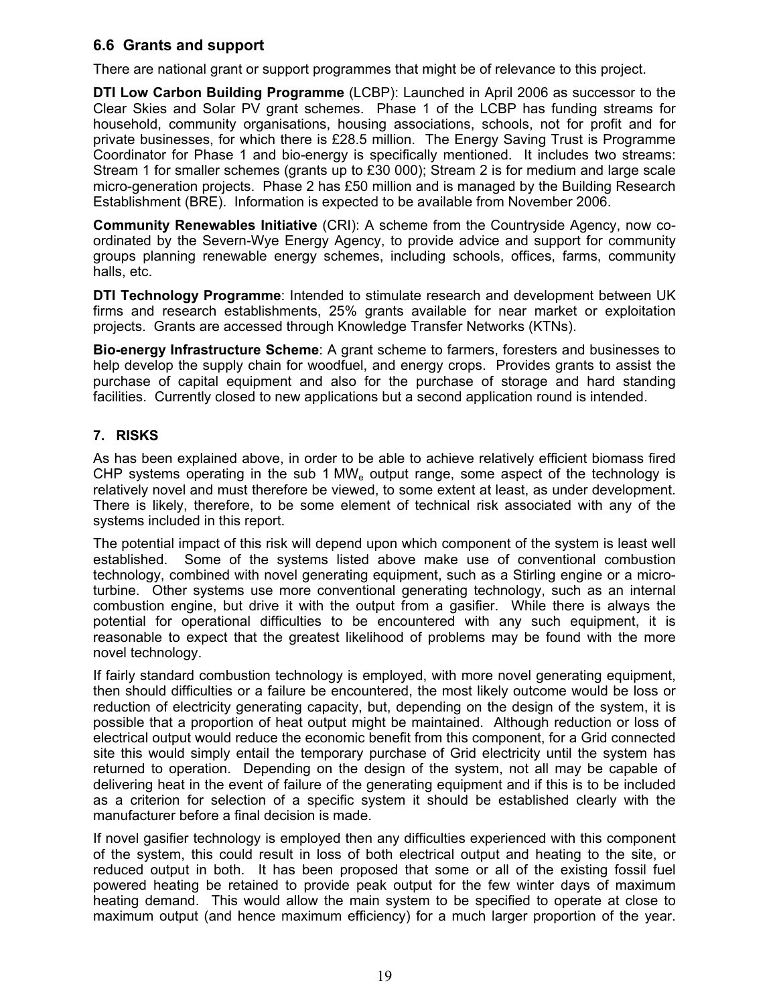## **6.6 Grants and support**

There are national grant or support programmes that might be of relevance to this project.

**DTI Low Carbon Building Programme** (LCBP): Launched in April 2006 as successor to the Clear Skies and Solar PV grant schemes. Phase 1 of the LCBP has funding streams for household, community organisations, housing associations, schools, not for profit and for private businesses, for which there is £28.5 million. The Energy Saving Trust is Programme Coordinator for Phase 1 and bio-energy is specifically mentioned. It includes two streams: Stream 1 for smaller schemes (grants up to £30 000); Stream 2 is for medium and large scale micro-generation projects. Phase 2 has £50 million and is managed by the Building Research Establishment (BRE). Information is expected to be available from November 2006.

**Community Renewables Initiative** (CRI): A scheme from the Countryside Agency, now coordinated by the Severn-Wye Energy Agency, to provide advice and support for community groups planning renewable energy schemes, including schools, offices, farms, community halls, etc.

**DTI Technology Programme**: Intended to stimulate research and development between UK firms and research establishments, 25% grants available for near market or exploitation projects. Grants are accessed through Knowledge Transfer Networks (KTNs).

**Bio-energy Infrastructure Scheme**: A grant scheme to farmers, foresters and businesses to help develop the supply chain for woodfuel, and energy crops. Provides grants to assist the purchase of capital equipment and also for the purchase of storage and hard standing facilities. Currently closed to new applications but a second application round is intended.

## **7. RISKS**

As has been explained above, in order to be able to achieve relatively efficient biomass fired CHP systems operating in the sub 1 MW<sub>e</sub> output range, some aspect of the technology is relatively novel and must therefore be viewed, to some extent at least, as under development. There is likely, therefore, to be some element of technical risk associated with any of the systems included in this report.

The potential impact of this risk will depend upon which component of the system is least well established. Some of the systems listed above make use of conventional combustion technology, combined with novel generating equipment, such as a Stirling engine or a microturbine. Other systems use more conventional generating technology, such as an internal combustion engine, but drive it with the output from a gasifier. While there is always the potential for operational difficulties to be encountered with any such equipment, it is reasonable to expect that the greatest likelihood of problems may be found with the more novel technology.

If fairly standard combustion technology is employed, with more novel generating equipment, then should difficulties or a failure be encountered, the most likely outcome would be loss or reduction of electricity generating capacity, but, depending on the design of the system, it is possible that a proportion of heat output might be maintained. Although reduction or loss of electrical output would reduce the economic benefit from this component, for a Grid connected site this would simply entail the temporary purchase of Grid electricity until the system has returned to operation. Depending on the design of the system, not all may be capable of delivering heat in the event of failure of the generating equipment and if this is to be included as a criterion for selection of a specific system it should be established clearly with the manufacturer before a final decision is made.

If novel gasifier technology is employed then any difficulties experienced with this component of the system, this could result in loss of both electrical output and heating to the site, or reduced output in both. It has been proposed that some or all of the existing fossil fuel powered heating be retained to provide peak output for the few winter days of maximum heating demand. This would allow the main system to be specified to operate at close to maximum output (and hence maximum efficiency) for a much larger proportion of the year.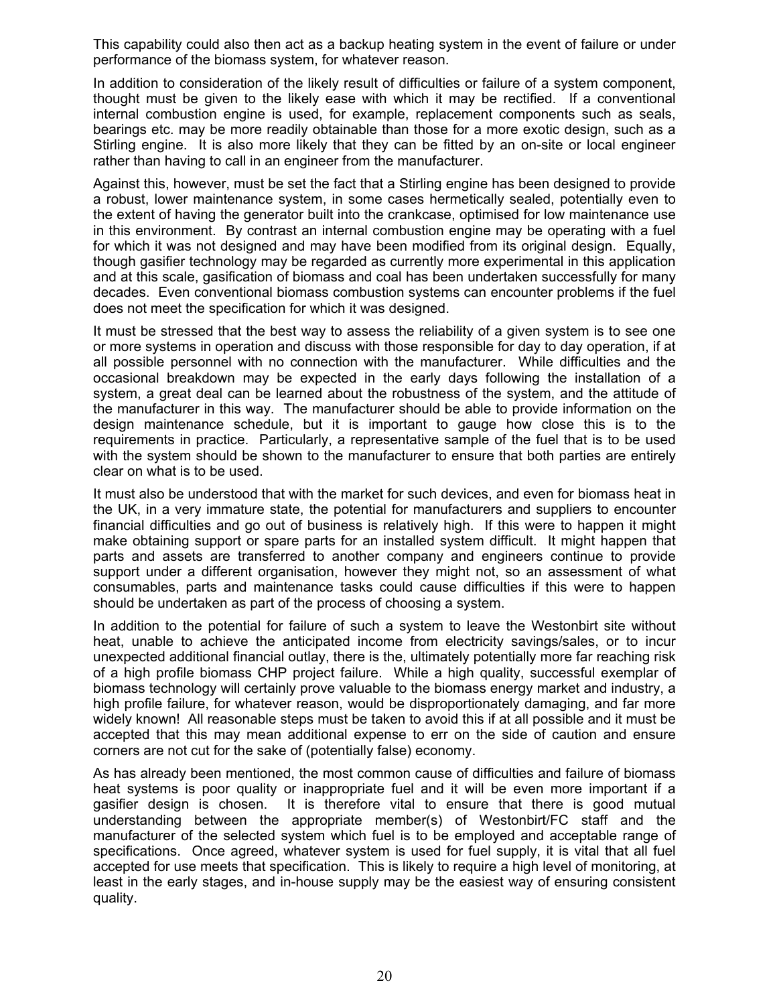This capability could also then act as a backup heating system in the event of failure or under performance of the biomass system, for whatever reason.

In addition to consideration of the likely result of difficulties or failure of a system component, thought must be given to the likely ease with which it may be rectified. If a conventional internal combustion engine is used, for example, replacement components such as seals, bearings etc. may be more readily obtainable than those for a more exotic design, such as a Stirling engine. It is also more likely that they can be fitted by an on-site or local engineer rather than having to call in an engineer from the manufacturer.

Against this, however, must be set the fact that a Stirling engine has been designed to provide a robust, lower maintenance system, in some cases hermetically sealed, potentially even to the extent of having the generator built into the crankcase, optimised for low maintenance use in this environment. By contrast an internal combustion engine may be operating with a fuel for which it was not designed and may have been modified from its original design. Equally, though gasifier technology may be regarded as currently more experimental in this application and at this scale, gasification of biomass and coal has been undertaken successfully for many decades. Even conventional biomass combustion systems can encounter problems if the fuel does not meet the specification for which it was designed.

It must be stressed that the best way to assess the reliability of a given system is to see one or more systems in operation and discuss with those responsible for day to day operation, if at all possible personnel with no connection with the manufacturer. While difficulties and the occasional breakdown may be expected in the early days following the installation of a system, a great deal can be learned about the robustness of the system, and the attitude of the manufacturer in this way. The manufacturer should be able to provide information on the design maintenance schedule, but it is important to gauge how close this is to the requirements in practice. Particularly, a representative sample of the fuel that is to be used with the system should be shown to the manufacturer to ensure that both parties are entirely clear on what is to be used.

It must also be understood that with the market for such devices, and even for biomass heat in the UK, in a very immature state, the potential for manufacturers and suppliers to encounter financial difficulties and go out of business is relatively high. If this were to happen it might make obtaining support or spare parts for an installed system difficult. It might happen that parts and assets are transferred to another company and engineers continue to provide support under a different organisation, however they might not, so an assessment of what consumables, parts and maintenance tasks could cause difficulties if this were to happen should be undertaken as part of the process of choosing a system.

In addition to the potential for failure of such a system to leave the Westonbirt site without heat, unable to achieve the anticipated income from electricity savings/sales, or to incur unexpected additional financial outlay, there is the, ultimately potentially more far reaching risk of a high profile biomass CHP project failure. While a high quality, successful exemplar of biomass technology will certainly prove valuable to the biomass energy market and industry, a high profile failure, for whatever reason, would be disproportionately damaging, and far more widely known! All reasonable steps must be taken to avoid this if at all possible and it must be accepted that this may mean additional expense to err on the side of caution and ensure corners are not cut for the sake of (potentially false) economy.

As has already been mentioned, the most common cause of difficulties and failure of biomass heat systems is poor quality or inappropriate fuel and it will be even more important if a gasifier design is chosen. It is therefore vital to ensure that there is good mutual understanding between the appropriate member(s) of Westonbirt/FC staff and the manufacturer of the selected system which fuel is to be employed and acceptable range of specifications. Once agreed, whatever system is used for fuel supply, it is vital that all fuel accepted for use meets that specification. This is likely to require a high level of monitoring, at least in the early stages, and in-house supply may be the easiest way of ensuring consistent quality.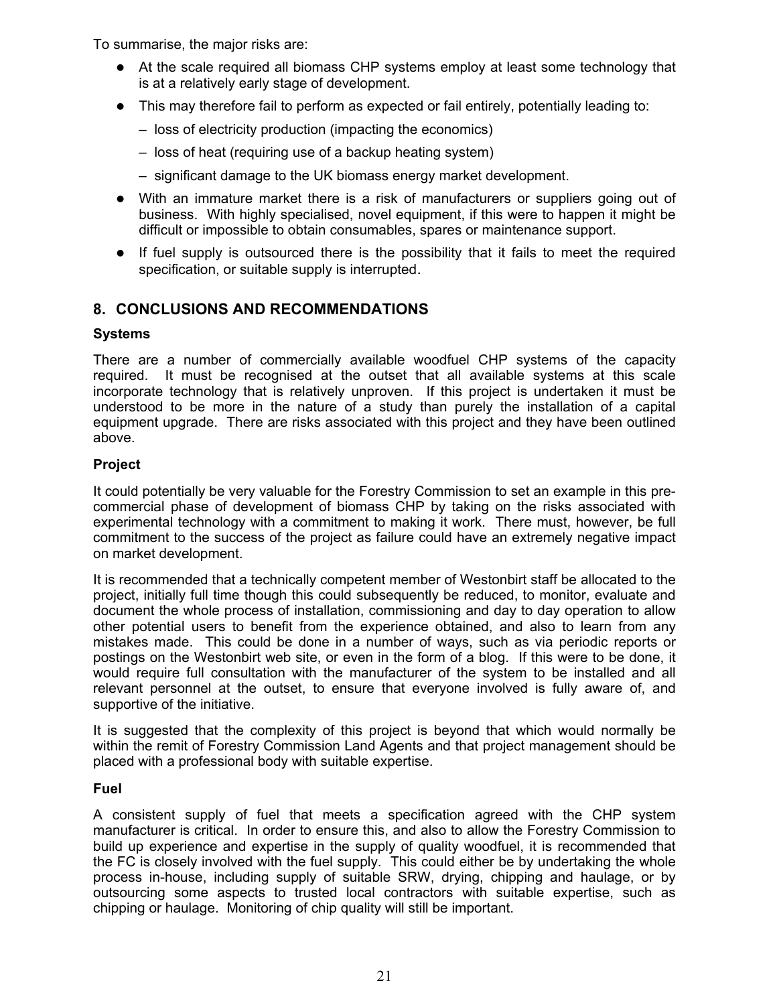To summarise, the major risks are:

- At the scale required all biomass CHP systems employ at least some technology that is at a relatively early stage of development.
- $\bullet$  This may therefore fail to perform as expected or fail entirely, potentially leading to:
	- loss of electricity production (impacting the economics)
	- loss of heat (requiring use of a backup heating system)
	- significant damage to the UK biomass energy market development.
- With an immature market there is a risk of manufacturers or suppliers going out of business. With highly specialised, novel equipment, if this were to happen it might be difficult or impossible to obtain consumables, spares or maintenance support.
- $\bullet$  If fuel supply is outsourced there is the possibility that it fails to meet the required specification, or suitable supply is interrupted.

## **8. CONCLUSIONS AND RECOMMENDATIONS**

#### **Systems**

There are a number of commercially available woodfuel CHP systems of the capacity required. It must be recognised at the outset that all available systems at this scale incorporate technology that is relatively unproven. If this project is undertaken it must be understood to be more in the nature of a study than purely the installation of a capital equipment upgrade. There are risks associated with this project and they have been outlined above.

## **Project**

It could potentially be very valuable for the Forestry Commission to set an example in this precommercial phase of development of biomass CHP by taking on the risks associated with experimental technology with a commitment to making it work. There must, however, be full commitment to the success of the project as failure could have an extremely negative impact on market development.

It is recommended that a technically competent member of Westonbirt staff be allocated to the project, initially full time though this could subsequently be reduced, to monitor, evaluate and document the whole process of installation, commissioning and day to day operation to allow other potential users to benefit from the experience obtained, and also to learn from any mistakes made. This could be done in a number of ways, such as via periodic reports or postings on the Westonbirt web site, or even in the form of a blog. If this were to be done, it would require full consultation with the manufacturer of the system to be installed and all relevant personnel at the outset, to ensure that everyone involved is fully aware of, and supportive of the initiative.

It is suggested that the complexity of this project is beyond that which would normally be within the remit of Forestry Commission Land Agents and that project management should be placed with a professional body with suitable expertise.

#### **Fuel**

A consistent supply of fuel that meets a specification agreed with the CHP system manufacturer is critical. In order to ensure this, and also to allow the Forestry Commission to build up experience and expertise in the supply of quality woodfuel, it is recommended that the FC is closely involved with the fuel supply. This could either be by undertaking the whole process in-house, including supply of suitable SRW, drying, chipping and haulage, or by outsourcing some aspects to trusted local contractors with suitable expertise, such as chipping or haulage. Monitoring of chip quality will still be important.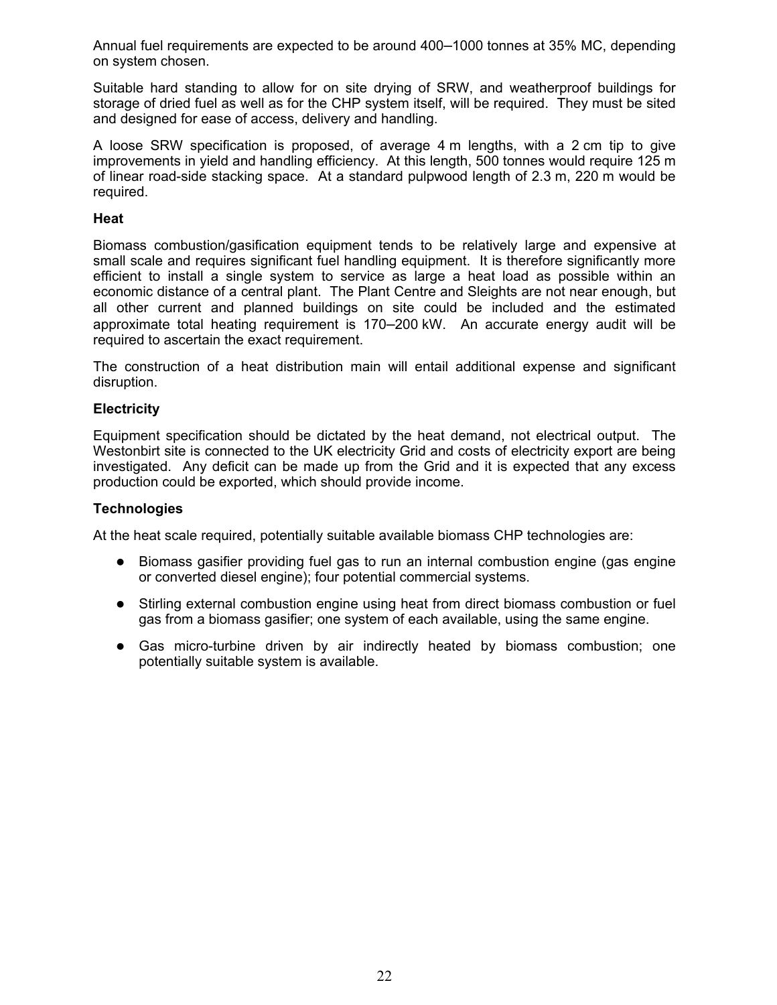Annual fuel requirements are expected to be around 400–1000 tonnes at 35% MC, depending on system chosen.

Suitable hard standing to allow for on site drying of SRW, and weatherproof buildings for storage of dried fuel as well as for the CHP system itself, will be required. They must be sited and designed for ease of access, delivery and handling.

A loose SRW specification is proposed, of average 4 m lengths, with a 2 cm tip to give improvements in yield and handling efficiency. At this length, 500 tonnes would require 125 m of linear road-side stacking space. At a standard pulpwood length of 2.3 m, 220 m would be required.

#### **Heat**

Biomass combustion/gasification equipment tends to be relatively large and expensive at small scale and requires significant fuel handling equipment. It is therefore significantly more efficient to install a single system to service as large a heat load as possible within an economic distance of a central plant. The Plant Centre and Sleights are not near enough, but all other current and planned buildings on site could be included and the estimated approximate total heating requirement is 170–200 kW. An accurate energy audit will be required to ascertain the exact requirement.

The construction of a heat distribution main will entail additional expense and significant disruption.

#### **Electricity**

Equipment specification should be dictated by the heat demand, not electrical output. The Westonbirt site is connected to the UK electricity Grid and costs of electricity export are being investigated. Any deficit can be made up from the Grid and it is expected that any excess production could be exported, which should provide income.

#### **Technologies**

At the heat scale required, potentially suitable available biomass CHP technologies are:

- Biomass gasifier providing fuel gas to run an internal combustion engine (gas engine or converted diesel engine); four potential commercial systems.
- Stirling external combustion engine using heat from direct biomass combustion or fuel gas from a biomass gasifier; one system of each available, using the same engine.
- $\bullet$  Gas micro-turbine driven by air indirectly heated by biomass combustion; one potentially suitable system is available.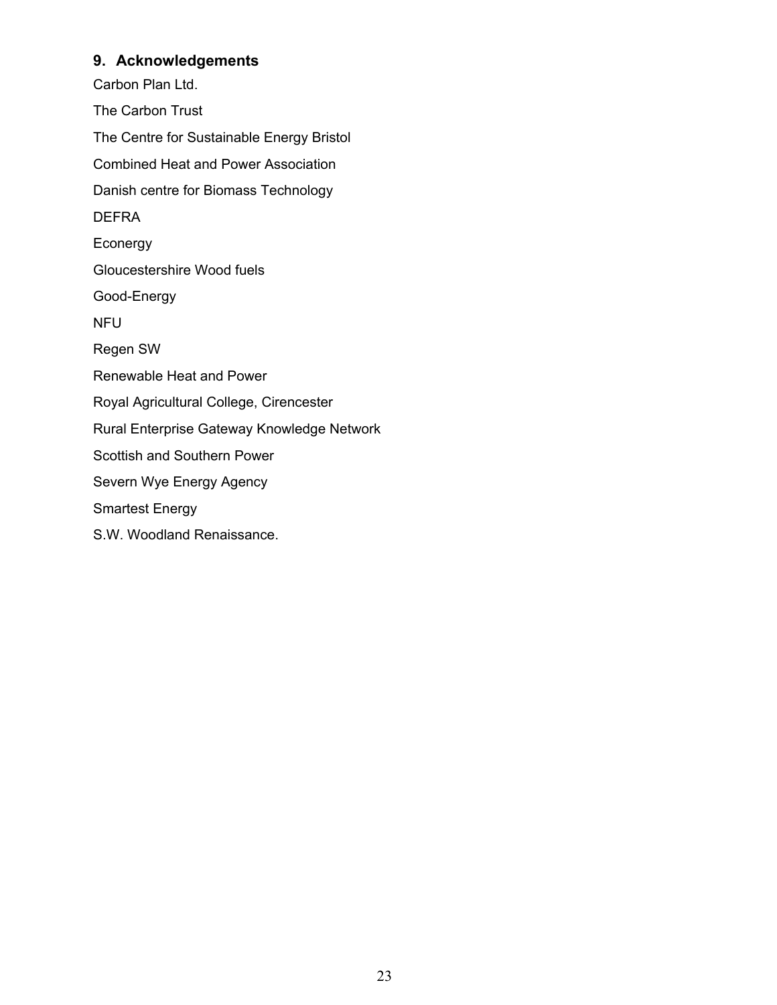## **9. Acknowledgements**

Carbon Plan Ltd. The Carbon Trust The Centre for Sustainable Energy Bristol Combined Heat and Power Association Danish centre for Biomass Technology DEFRA Econergy Gloucestershire Wood fuels Good-Energy NFU Regen SW Renewable Heat and Power Royal Agricultural College, Cirencester Rural Enterprise Gateway Knowledge Network Scottish and Southern Power Severn Wye Energy Agency Smartest Energy S.W. Woodland Renaissance.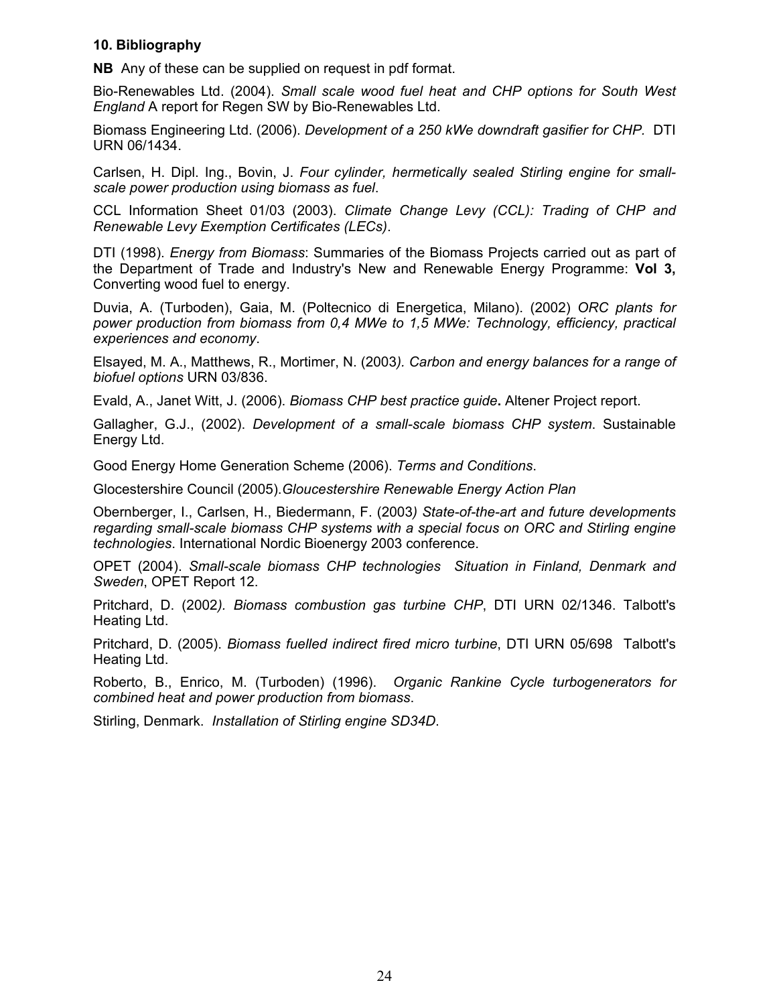#### **10. Bibliography**

**NB** Any of these can be supplied on request in pdf format.

Bio-Renewables Ltd. (2004). *Small scale wood fuel heat and CHP options for South West England* A report for Regen SW by Bio-Renewables Ltd.

Biomass Engineering Ltd. (2006). *Development of a 250 kWe downdraft gasifier for CHP.* DTI URN 06/1434.

Carlsen, H. Dipl. Ing., Bovin, J. *Four cylinder, hermetically sealed Stirling engine for smallscale power production using biomass as fuel*.

CCL Information Sheet 01/03 (2003). *Climate Change Levy (CCL): Trading of CHP and Renewable Levy Exemption Certificates (LECs)*.

DTI (1998). *Energy from Biomass*: Summaries of the Biomass Projects carried out as part of the Department of Trade and Industry's New and Renewable Energy Programme: **Vol 3,** Converting wood fuel to energy.

Duvia, A. (Turboden), Gaia, M. (Poltecnico di Energetica, Milano). (2002) *ORC plants for power production from biomass from 0,4 MWe to 1,5 MWe: Technology, efficiency, practical experiences and economy*.

Elsayed, M. A., Matthews, R., Mortimer, N. (2003*). Carbon and energy balances for a range of biofuel options* URN 03/836.

Evald, A., Janet Witt, J. (2006). *Biomass CHP best practice guide***.** Altener Project report.

Gallagher, G.J., (2002). *Development of a small-scale biomass CHP system*. Sustainable Energy Ltd.

Good Energy Home Generation Scheme (2006). *Terms and Conditions*.

Glocestershire Council (2005).*Gloucestershire Renewable Energy Action Plan*

Obernberger, I., Carlsen, H., Biedermann, F. (2003*) State-of-the-art and future developments regarding small-scale biomass CHP systems with a special focus on ORC and Stirling engine technologies*. International Nordic Bioenergy 2003 conference.

OPET (2004). *Small-scale biomass CHP technologies Situation in Finland, Denmark and Sweden*, OPET Report 12.

Pritchard, D. (2002*). Biomass combustion gas turbine CHP*, DTI URN 02/1346. Talbott's Heating Ltd.

Pritchard, D. (2005). *Biomass fuelled indirect fired micro turbine*, DTI URN 05/698 Talbott's Heating Ltd.

Roberto, B., Enrico, M. (Turboden) (1996). *Organic Rankine Cycle turbogenerators for combined heat and power production from biomass*.

Stirling, Denmark. *Installation of Stirling engine SD34D*.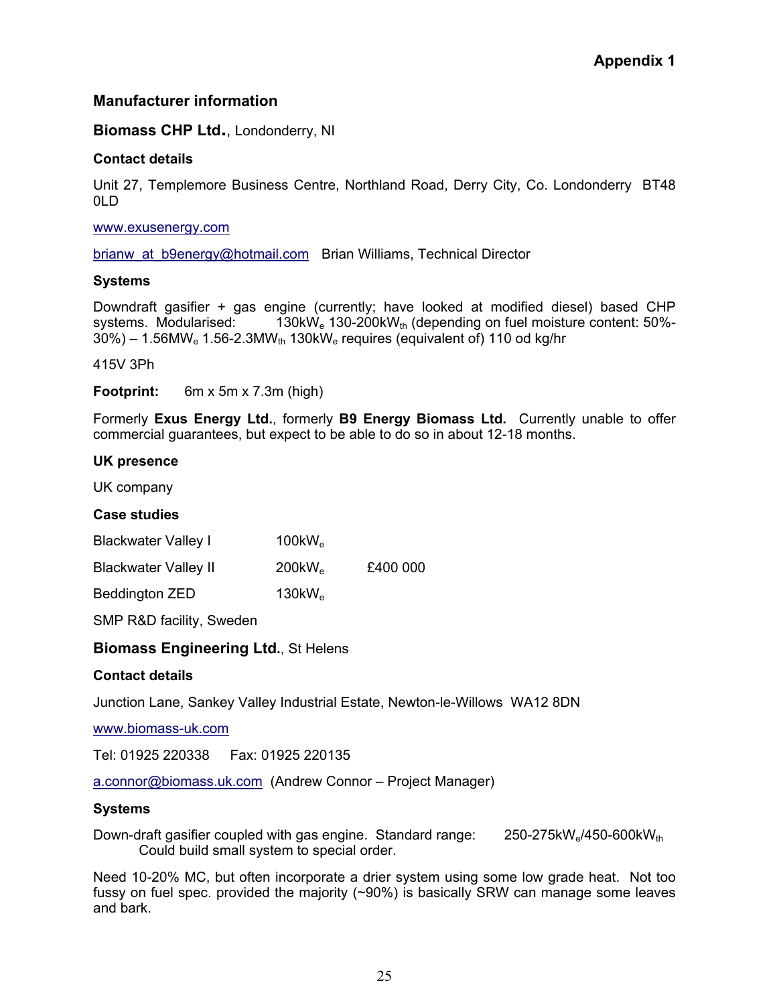## **Manufacturer information**

**Biomass CHP Ltd.**, Londonderry, NI

#### **Contact details**

Unit 27, Templemore Business Centre, Northland Road, Derry City, Co. Londonderry BT48 0LD

www.exusenergy.com

brianw at b9energy@hotmail.com Brian Williams, Technical Director

#### **Systems**

Downdraft gasifier + gas engine (currently; have looked at modified diesel) based CHP systems. Modularised:  $130 \text{kW}_e$  130-200kW<sub>th</sub> (depending on fuel moisture content: 50%- $30\%) - 1.56$ MW<sub>e</sub> 1.56-2.3MW<sub>th</sub> 130kW<sub>e</sub> requires (equivalent of) 110 od kg/hr

415V 3Ph

**Footprint:** 6m x 5m x 7.3m (high)

Formerly **Exus Energy Ltd.**, formerly **B9 Energy Biomass Ltd.** Currently unable to offer commercial guarantees, but expect to be able to do so in about 12-18 months.

#### **UK presence**

UK company

#### **Case studies**

| <b>Blackwater Valley I</b>  | $100$ k $W_e$                   |          |
|-----------------------------|---------------------------------|----------|
| <b>Blackwater Valley II</b> | 200 <sub>k</sub> W <sub>e</sub> | £400 000 |
| <b>Beddington ZED</b>       | 130kW <sub>e</sub>              |          |

SMP R&D facility, Sweden

#### **Biomass Engineering Ltd.**, St Helens

#### **Contact details**

Junction Lane, Sankey Valley Industrial Estate, Newton-le-Willows WA12 8DN

www.biomass-uk.com

Tel: 01925 220338 Fax: 01925 220135

a.connor@biomass.uk.com (Andrew Connor – Project Manager)

#### **Systems**

Down-draft gasifier coupled with gas engine. Standard range:  $250-275 \text{kW}_e/450-600 \text{kW}_{th}$ Could build small system to special order.

Need 10-20% MC, but often incorporate a drier system using some low grade heat. Not too fussy on fuel spec. provided the majority (~90%) is basically SRW can manage some leaves and bark.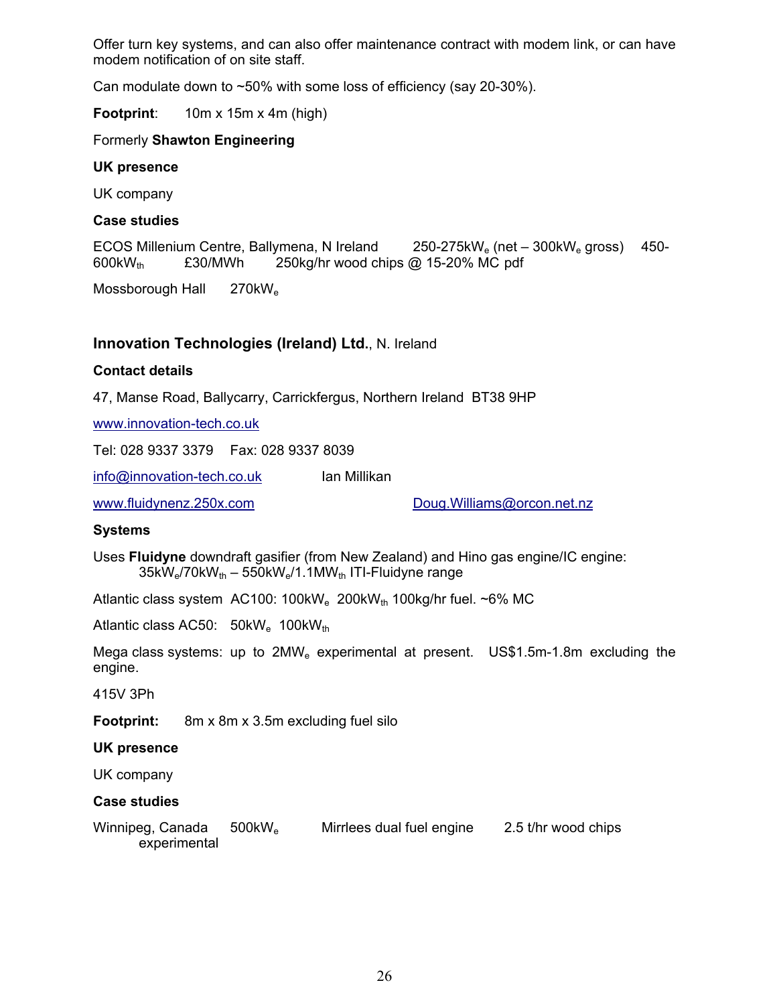Offer turn key systems, and can also offer maintenance contract with modem link, or can have modem notification of on site staff.

Can modulate down to  $\sim$  50% with some loss of efficiency (say 20-30%).

**Footprint**: 10m x 15m x 4m (high)

#### Formerly **Shawton Engineering**

#### **UK presence**

UK company

#### **Case studies**

ECOS Millenium Centre, Ballymena, N Ireland 250-275kW<sub>e</sub> (net – 300kW<sub>e</sub> gross) 450-600kW<sub>th</sub> £30/MWh 250kg/hr wood chips @ 15-20% MC pdf

Mossborough Hall 270kW<sub>e</sub>

## **Innovation Technologies (Ireland) Ltd.**, N. Ireland

#### **Contact details**

47, Manse Road, Ballycarry, Carrickfergus, Northern Ireland BT38 9HP

www.innovation-tech.co.uk

Tel: 028 9337 3379 Fax: 028 9337 8039

info@innovation-tech.co.uk Ian Millikan

www.fluidynenz.250x.com Doug.Williams@orcon.net.nz

#### **Systems**

Uses **Fluidyne** downdraft gasifier (from New Zealand) and Hino gas engine/IC engine:  $35kW_e/70kW_{th} - 550kW_e/1.1MW_{th}$  ITI-Fluidyne range

Atlantic class system  $AC100: 100kW<sub>e</sub> 200kW<sub>th</sub> 100kg/hr fuel. ~6% MC$ 

Atlantic class AC50:  $50kW_e$  100k $W_{th}$ 

Mega class systems: up to  $2MW_e$  experimental at present. US\$1.5m-1.8m excluding the engine.

415V 3Ph

**Footprint:** 8m x 8m x 3.5m excluding fuel silo

#### **UK presence**

UK company

#### **Case studies**

| Winnipeg, Canada | $500$ k $W_{\rm e}$ | Mirrlees dual fuel engine | 2.5 t/hr wood chips |
|------------------|---------------------|---------------------------|---------------------|
| experimental     |                     |                           |                     |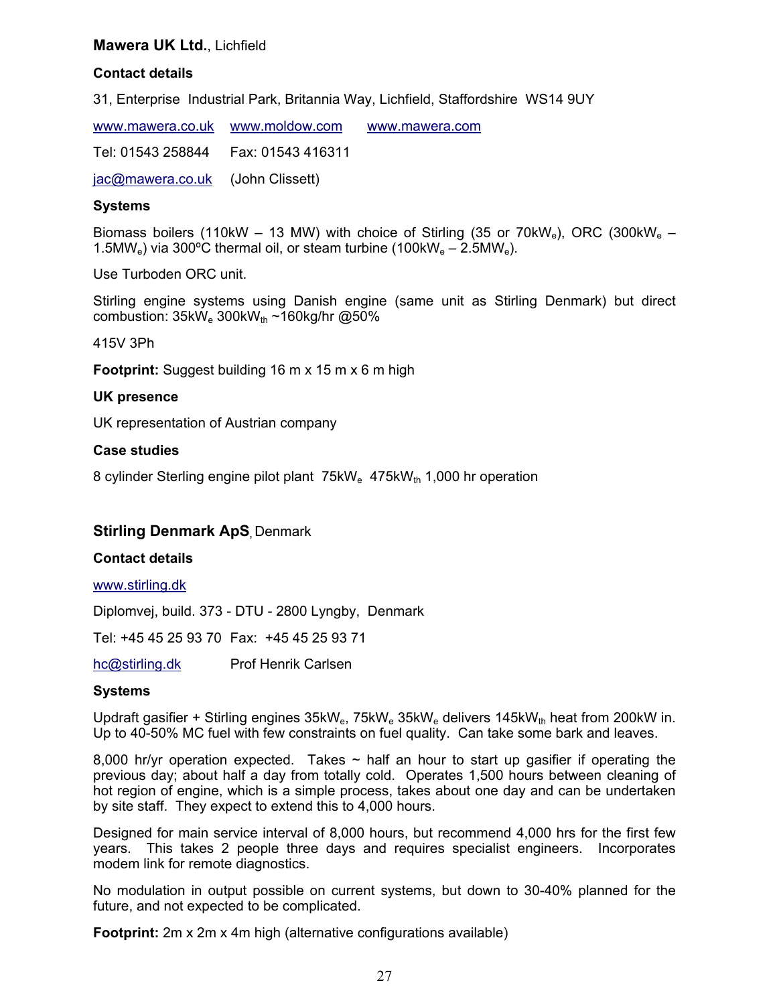#### **Mawera UK Ltd.**, Lichfield

#### **Contact details**

31, Enterprise Industrial Park, Britannia Way, Lichfield, Staffordshire WS14 9UY

www.mawera.co.uk www.moldow.com www.mawera.com Tel: 01543 258844 Fax: 01543 416311 jac@mawera.co.uk (John Clissett)

#### **Systems**

Biomass boilers (110kW – 13 MW) with choice of Stirling (35 or 70kW<sub>e</sub>), ORC (300kW<sub>e</sub> – 1.5MW<sub>e</sub>) via 300°C thermal oil, or steam turbine (100kW<sub>e</sub> – 2.5MW<sub>e</sub>).

Use Turboden ORC unit.

Stirling engine systems using Danish engine (same unit as Stirling Denmark) but direct combustion:  $35kW_e$  300k $W_{th}$  ~160kg/hr @50%

415V 3Ph

**Footprint:** Suggest building 16 m x 15 m x 6 m high

#### **UK presence**

UK representation of Austrian company

#### **Case studies**

8 cylinder Sterling engine pilot plant 75kW<sub>e</sub> 475kW<sub>th</sub> 1,000 hr operation

#### **Stirling Denmark ApS Denmark**

#### **Contact details**

www.stirling.dk

Diplomvej, build. 373 - DTU - 2800 Lyngby, Denmark

Tel: +45 45 25 93 70 Fax: +45 45 25 93 71

hc@stirling.dk Prof Henrik Carlsen

#### **Systems**

Updraft gasifier + Stirling engines  $35kW_e$ ,  $75kW_e$  35kW<sub>e</sub> delivers  $145kW_{th}$  heat from 200kW in. Up to 40-50% MC fuel with few constraints on fuel quality. Can take some bark and leaves.

8,000 hr/yr operation expected. Takes  $\sim$  half an hour to start up gasifier if operating the previous day; about half a day from totally cold. Operates 1,500 hours between cleaning of hot region of engine, which is a simple process, takes about one day and can be undertaken by site staff. They expect to extend this to 4,000 hours.

Designed for main service interval of 8,000 hours, but recommend 4,000 hrs for the first few years. This takes 2 people three days and requires specialist engineers. Incorporates modem link for remote diagnostics.

No modulation in output possible on current systems, but down to 30-40% planned for the future, and not expected to be complicated.

**Footprint:** 2m x 2m x 4m high (alternative configurations available)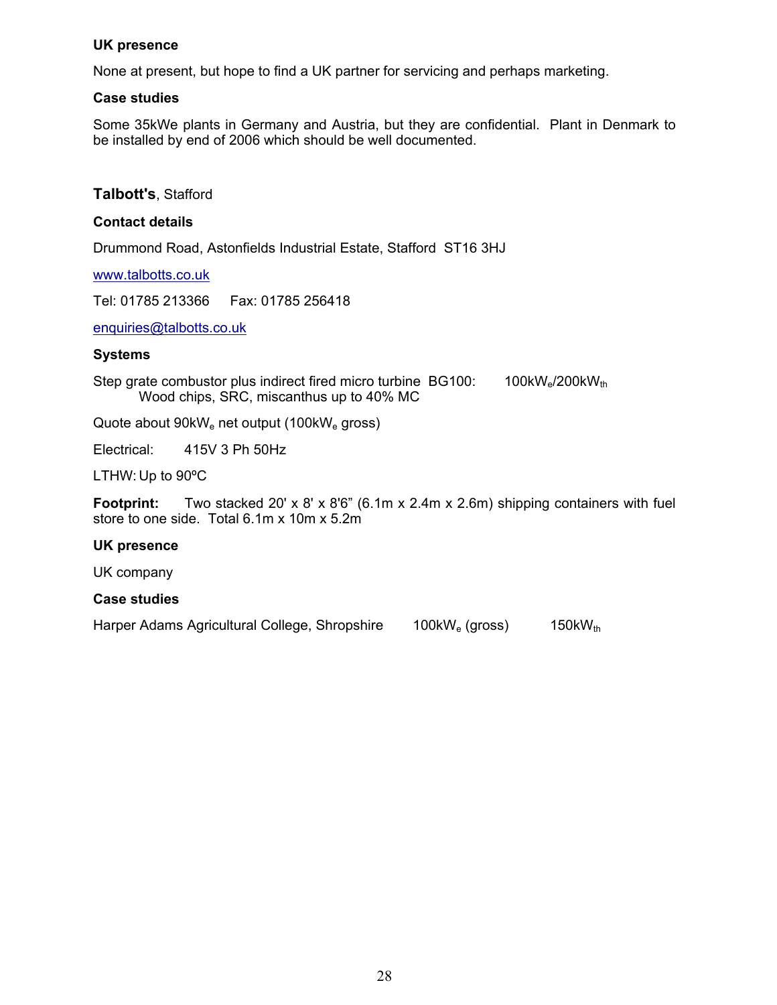#### **UK presence**

None at present, but hope to find a UK partner for servicing and perhaps marketing.

#### **Case studies**

Some 35kWe plants in Germany and Austria, but they are confidential. Plant in Denmark to be installed by end of 2006 which should be well documented.

#### **Talbott's**, Stafford

#### **Contact details**

Drummond Road, Astonfields Industrial Estate, Stafford ST16 3HJ

www.talbotts.co.uk

Tel: 01785 213366 Fax: 01785 256418

enquiries@talbotts.co.uk

#### **Systems**

Step grate combustor plus indirect fired micro turbine  $BGI00$ : 100kW<sub>e</sub>/200kW<sub>th</sub> Wood chips, SRC, miscanthus up to 40% MC

Quote about 90kW<sub>e</sub> net output (100kW<sub>e</sub> gross)

Electrical: 415V 3 Ph 50Hz

LTHW: Up to 90ºC

**Footprint:** Two stacked 20' x 8' x 8'6" (6.1m x 2.4m x 2.6m) shipping containers with fuel store to one side. Total 6.1m x 10m x 5.2m

#### **UK presence**

UK company

#### **Case studies**

Harper Adams Agricultural College, Shropshire 100kW<sub>e</sub> (gross) 150kW<sub>th</sub>